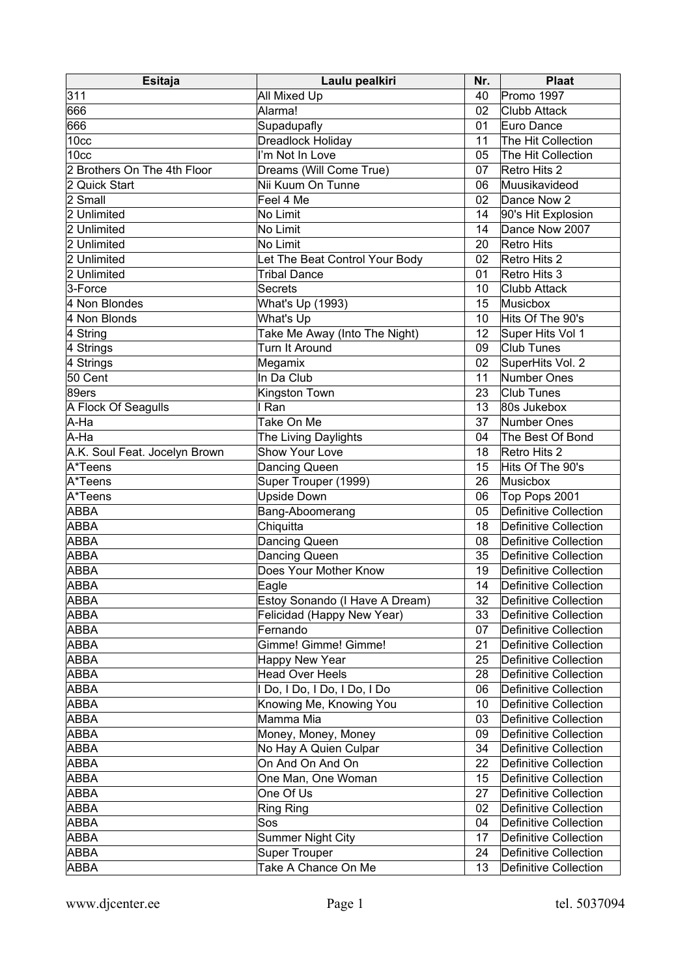| <b>Esitaja</b>                | Laulu pealkiri                 | Nr.             | <b>Plaat</b>          |
|-------------------------------|--------------------------------|-----------------|-----------------------|
| 311                           | All Mixed Up                   | 40              | Promo 1997            |
| 666                           | Alarma!                        | 02              | Clubb Attack          |
| 666                           | Supadupafly                    | 01              | Euro Dance            |
| 10 <sub>cc</sub>              | Dreadlock Holiday              | 11              | The Hit Collection    |
| 10 <sub>cc</sub>              | I'm Not In Love                | 05              | The Hit Collection    |
| 2 Brothers On The 4th Floor   | Dreams (Will Come True)        | 07              | Retro Hits 2          |
| 2 Quick Start                 | Nii Kuum On Tunne              | 06              | Muusikavideod         |
| 2 Small                       | Feel 4 Me                      | 02              | Dance Now 2           |
| 2 Unlimited                   | No Limit                       | 14              | 90's Hit Explosion    |
| 2 Unlimited                   | No Limit                       | 14              | Dance Now 2007        |
| 2 Unlimited                   | No Limit                       | 20              | Retro Hits            |
| 2 Unlimited                   | Let The Beat Control Your Body | 02              | Retro Hits 2          |
| 2 Unlimited                   | <b>Tribal Dance</b>            | 01              | Retro Hits 3          |
| 3-Force                       | <b>Secrets</b>                 | 10              | <b>Clubb Attack</b>   |
| 4 Non Blondes                 | What's Up (1993)               | 15              | Musicbox              |
| 4 Non Blonds                  | What's Up                      | 10              | Hits Of The 90's      |
| 4 String                      | Take Me Away (Into The Night)  | 12 <sup>°</sup> | Super Hits Vol 1      |
| 4 Strings                     | Turn It Around                 | 09              | <b>Club Tunes</b>     |
| 4 Strings                     | Megamix                        | 02              | SuperHits Vol. 2      |
| 50 Cent                       | In Da Club                     | 11              | Number Ones           |
| 89ers                         | Kingston Town                  | 23              | <b>Club Tunes</b>     |
| A Flock Of Seagulls           | I Ran                          | 13              | 80s Jukebox           |
| A-Ha                          | Take On Me                     | 37              | Number Ones           |
| A-Ha                          | The Living Daylights           | 04              | The Best Of Bond      |
| A.K. Soul Feat. Jocelyn Brown | Show Your Love                 | 18              | Retro Hits 2          |
| A*Teens                       | Dancing Queen                  | 15              | Hits Of The 90's      |
| A*Teens                       | Super Trouper (1999)           | 26              | Musicbox              |
| A*Teens                       | <b>Upside Down</b>             | 06              | Top Pops 2001         |
| ABBA                          | Bang-Aboomerang                | 05              | Definitive Collection |
| ABBA                          | Chiquitta                      | 18              | Definitive Collection |
| ABBA                          | Dancing Queen                  | 08              | Definitive Collection |
| ABBA                          | Dancing Queen                  | 35              | Definitive Collection |
| ABBA                          | Does Your Mother Know          | 19              | Definitive Collection |
| ABBA                          | Eagle                          | 14              | Definitive Collection |
| ABBA                          | Estoy Sonando (I Have A Dream) | 32              | Definitive Collection |
| ABBA                          | Felicidad (Happy New Year)     | 33              | Definitive Collection |
| ABBA                          | Fernando                       | 07              | Definitive Collection |
| ABBA                          | Gimme! Gimme! Gimme!           | 21              | Definitive Collection |
| ABBA                          | Happy New Year                 | 25              | Definitive Collection |
| ABBA                          | <b>Head Over Heels</b>         | 28              | Definitive Collection |
| ABBA                          | I Do, I Do, I Do, I Do, I Do   | 06              | Definitive Collection |
| ABBA                          | Knowing Me, Knowing You        | 10              | Definitive Collection |
| ABBA                          | Mamma Mia                      | 03              | Definitive Collection |
| ABBA                          | Money, Money, Money            | 09              | Definitive Collection |
| ABBA                          | No Hay A Quien Culpar          | 34              | Definitive Collection |
| ABBA                          | On And On And On               | 22              | Definitive Collection |
| ABBA                          | One Man, One Woman             | 15              | Definitive Collection |
| ABBA                          | One Of Us                      | 27              | Definitive Collection |
| ABBA                          | <b>Ring Ring</b>               | 02              | Definitive Collection |
| ABBA                          | Sos                            | 04              | Definitive Collection |
| ABBA                          | <b>Summer Night City</b>       | 17              | Definitive Collection |
| ABBA                          | <b>Super Trouper</b>           | 24              | Definitive Collection |
| ABBA                          | Take A Chance On Me            | 13              | Definitive Collection |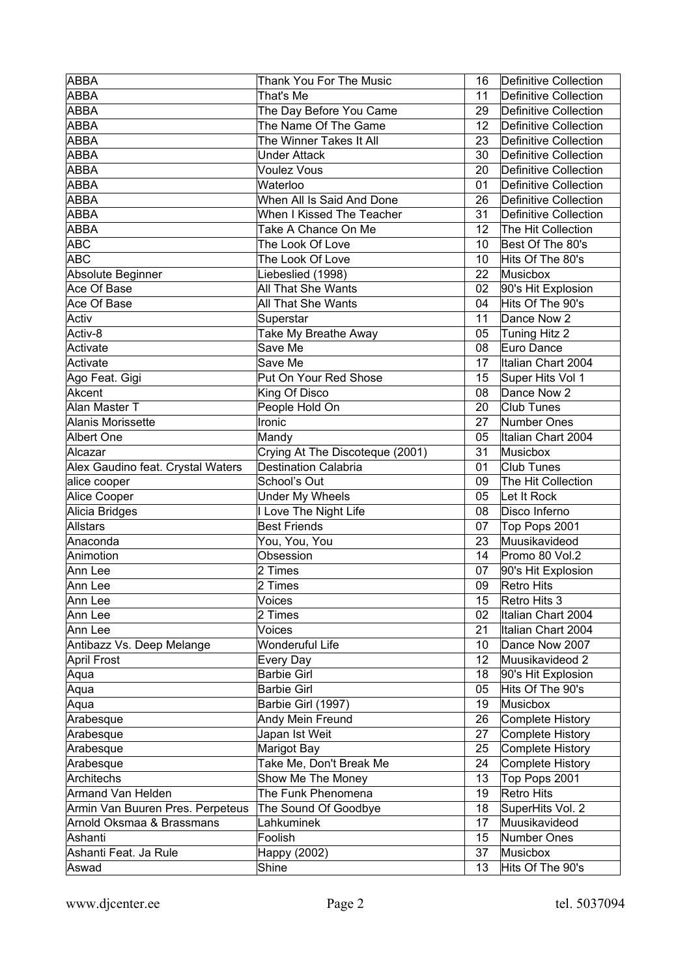| <b>ABBA</b>                       | <b>Thank You For The Music</b>  | 16               | Definitive Collection |
|-----------------------------------|---------------------------------|------------------|-----------------------|
| <b>ABBA</b>                       | That's Me                       | 11               | Definitive Collection |
| <b>ABBA</b>                       | The Day Before You Came         | 29               | Definitive Collection |
| <b>ABBA</b>                       | The Name Of The Game            | 12 <sup>12</sup> | Definitive Collection |
| <b>ABBA</b>                       | The Winner Takes It All         | 23               | Definitive Collection |
| <b>ABBA</b>                       | <b>Under Attack</b>             | 30               | Definitive Collection |
| <b>ABBA</b>                       | <b>Voulez Vous</b>              | 20               | Definitive Collection |
| <b>ABBA</b>                       | Waterloo                        | 01               | Definitive Collection |
| <b>ABBA</b>                       | When All Is Said And Done       | 26               | Definitive Collection |
| <b>ABBA</b>                       | When I Kissed The Teacher       | 31               | Definitive Collection |
| <b>ABBA</b>                       | Take A Chance On Me             | 12 <sup>12</sup> | The Hit Collection    |
| <b>ABC</b>                        | The Look Of Love                | 10               | Best Of The 80's      |
| <b>ABC</b>                        | The Look Of Love                | 10               | Hits Of The 80's      |
| Absolute Beginner                 | Liebeslied (1998)               | 22               | Musicbox              |
| Ace Of Base                       | <b>All That She Wants</b>       | 02               | 90's Hit Explosion    |
| Ace Of Base                       | All That She Wants              | 04               | Hits Of The 90's      |
| Activ                             | Superstar                       | 11               | Dance Now 2           |
| Activ-8                           | Take My Breathe Away            | 05               | Tuning Hitz 2         |
| Activate                          | Save Me                         | 08               | Euro Dance            |
| Activate                          | Save Me                         | 17               | Italian Chart 2004    |
| Ago Feat. Gigi                    | Put On Your Red Shose           | 15               | Super Hits Vol 1      |
| Akcent                            | King Of Disco                   | 08               | Dance Now 2           |
| Alan Master T                     | People Hold On                  | 20               | Club Tunes            |
| <b>Alanis Morissette</b>          | Ironic                          | 27               | Number Ones           |
| Albert One                        | Mandy                           | 05               | Italian Chart 2004    |
| Alcazar                           | Crying At The Discoteque (2001) | 31               | Musicbox              |
| Alex Gaudino feat. Crystal Waters | <b>Destination Calabria</b>     | 01               | Club Tunes            |
| alice cooper                      | School's Out                    | 09               | The Hit Collection    |
| Alice Cooper                      | <b>Under My Wheels</b>          | 05               | Let It Rock           |
| Alicia Bridges                    | I Love The Night Life           | 08               | Disco Inferno         |
| <b>Allstars</b>                   | <b>Best Friends</b>             | 07               | Top Pops 2001         |
| Anaconda                          | You, You, You                   | 23               | Muusikavideod         |
| Animotion                         | Obsession                       | 14               | Promo 80 Vol.2        |
| Ann Lee                           | 2 Times                         | 07               | 90's Hit Explosion    |
| Ann Lee                           | 2 Times                         | 09               | Retro Hits            |
| Ann Lee                           | Voices                          | 15               | Retro Hits 3          |
| Ann Lee                           | 2 Times                         | 02               | Italian Chart 2004    |
| Ann Lee                           | Voices                          | 21               | Italian Chart 2004    |
| Antibazz Vs. Deep Melange         | <b>Wonderuful Life</b>          | 10               | Dance Now 2007        |
| <b>April Frost</b>                | Every Day                       | 12               | Muusikavideod 2       |
| Aqua                              | <b>Barbie Girl</b>              | 18               | 90's Hit Explosion    |
| Aqua                              | <b>Barbie Girl</b>              | 05               | Hits Of The 90's      |
| Aqua                              | Barbie Girl (1997)              | 19               | Musicbox              |
| Arabesque                         | Andy Mein Freund                | 26               | Complete History      |
| Arabesque                         | Japan Ist Weit                  | 27               | Complete History      |
| Arabesque                         | Marigot Bay                     | 25               | Complete History      |
| Arabesque                         | Take Me, Don't Break Me         | 24               | Complete History      |
| <b>Architechs</b>                 | Show Me The Money               | 13               | Top Pops 2001         |
| <b>Armand Van Helden</b>          | The Funk Phenomena              | 19               | Retro Hits            |
| Armin Van Buuren Pres. Perpeteus  | The Sound Of Goodbye            | 18               | SuperHits Vol. 2      |
| Arnold Oksmaa & Brassmans         | Lahkuminek                      | 17               | Muusikavideod         |
| Ashanti                           | Foolish                         | 15               | Number Ones           |
| Ashanti Feat. Ja Rule             | Happy (2002)                    | 37               | Musicbox              |
| Aswad                             | Shine                           | 13               | Hits Of The 90's      |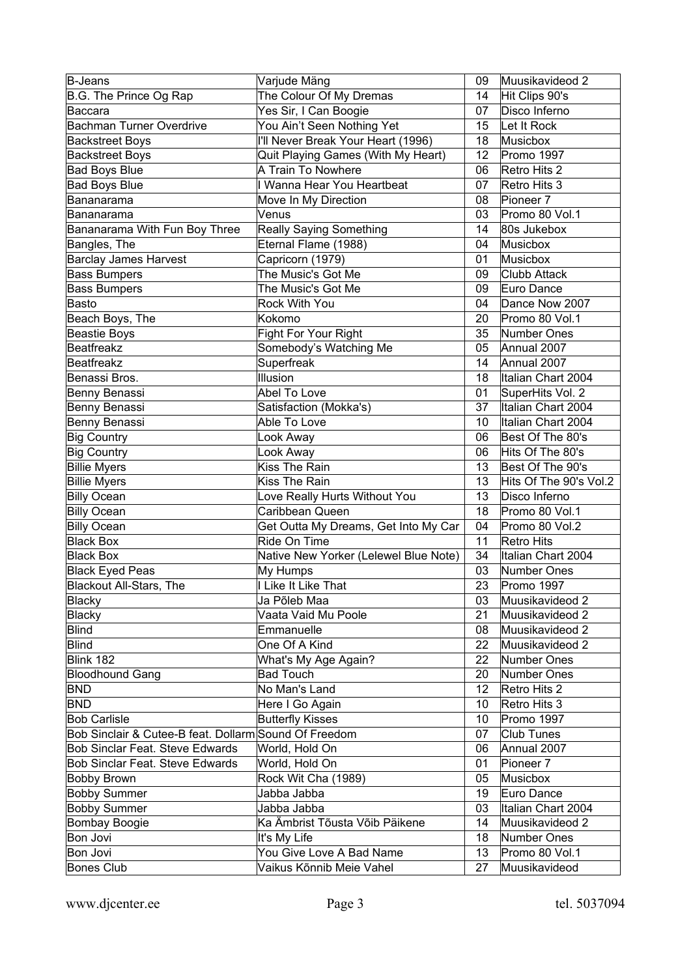| B-Jeans                                               | Varjude Mäng                          | 09              | Muusikavideod 2        |
|-------------------------------------------------------|---------------------------------------|-----------------|------------------------|
| B.G. The Prince Og Rap                                | The Colour Of My Dremas               | 14              | Hit Clips 90's         |
| Baccara                                               | Yes Sir, I Can Boogie                 | 07              | Disco Inferno          |
| <b>Bachman Turner Overdrive</b>                       | You Ain't Seen Nothing Yet            | 15              | Let It Rock            |
| <b>Backstreet Boys</b>                                | I'll Never Break Your Heart (1996)    | 18              | Musicbox               |
| <b>Backstreet Boys</b>                                | Quit Playing Games (With My Heart)    | 12              | Promo 1997             |
| <b>Bad Boys Blue</b>                                  | A Train To Nowhere                    | 06              | Retro Hits 2           |
| <b>Bad Boys Blue</b>                                  | I Wanna Hear You Heartbeat            | 07              | Retro Hits 3           |
| Bananarama                                            | Move In My Direction                  | 08              | Pioneer 7              |
| Bananarama                                            | Venus                                 | 03              | Promo 80 Vol.1         |
| Bananarama With Fun Boy Three                         | <b>Really Saying Something</b>        | 14              | 80s Jukebox            |
| Bangles, The                                          | Eternal Flame (1988)                  | 04              | Musicbox               |
| <b>Barclay James Harvest</b>                          | Capricorn (1979)                      | 01              | Musicbox               |
| <b>Bass Bumpers</b>                                   | The Music's Got Me                    | 09              | Clubb Attack           |
| <b>Bass Bumpers</b>                                   | The Music's Got Me                    | 09              | Euro Dance             |
| <b>Basto</b>                                          | Rock With You                         | 04              | Dance Now 2007         |
| Beach Boys, The                                       | Kokomo                                | 20              | Promo 80 Vol.1         |
| Beastie Boys                                          | Fight For Your Right                  | 35              | Number Ones            |
| Beatfreakz                                            | Somebody's Watching Me                | 05              | Annual 2007            |
| Beatfreakz                                            | Superfreak                            | 14              | Annual 2007            |
| Benassi Bros.                                         | Illusion                              | 18              | Italian Chart 2004     |
| Benny Benassi                                         | Abel To Love                          | 01              | SuperHits Vol. 2       |
| Benny Benassi                                         | Satisfaction (Mokka's)                | 37              | Italian Chart 2004     |
|                                                       | Able To Love                          | 10              | Italian Chart 2004     |
| Benny Benassi                                         |                                       |                 |                        |
| <b>Big Country</b>                                    | Look Away                             | 06              | Best Of The 80's       |
| Big Country                                           | Look Away                             | 06              | Hits Of The 80's       |
| <b>Billie Myers</b>                                   | <b>Kiss The Rain</b>                  | 13              | Best Of The 90's       |
| <b>Billie Myers</b>                                   | Kiss The Rain                         | 13              | Hits Of The 90's Vol.2 |
| <b>Billy Ocean</b>                                    | Love Really Hurts Without You         | 13              | Disco Inferno          |
| Billy Ocean                                           | Caribbean Queen                       | 18              | Promo 80 Vol.1         |
| Billy Ocean                                           | Get Outta My Dreams, Get Into My Car  | 04              | Promo 80 Vol.2         |
| <b>Black Box</b>                                      | Ride On Time                          | 11              | Retro Hits             |
| Black Box                                             | Native New Yorker (Lelewel Blue Note) | 34              | Italian Chart 2004     |
| Black Eyed Peas                                       | My Humps                              | 03              | Number Ones            |
| Blackout All-Stars, The                               | I Like It Like That                   | 23              | Promo 1997             |
| Blacky                                                | Ja Põleb Maa                          | 03              | Muusikavideod 2        |
| Blacky                                                | Vaata Vaid Mu Poole                   | 21              | Muusikavideod 2        |
| Blind                                                 | Emmanuelle                            | 08              | Muusikavideod 2        |
| Blind                                                 | One Of A Kind                         | 22              | Muusikavideod 2        |
| Blink 182                                             | What's My Age Again?                  | 22              | Number Ones            |
| Bloodhound Gang                                       | <b>Bad Touch</b>                      | 20              | Number Ones            |
| BND                                                   | No Man's Land                         | 12 <sup>°</sup> | Retro Hits 2           |
| <b>BND</b>                                            | Here I Go Again                       | 10              | Retro Hits 3           |
| <b>Bob Carlisle</b>                                   | <b>Butterfly Kisses</b>               | 10              | Promo 1997             |
| Bob Sinclair & Cutee-B feat. Dollarm Sound Of Freedom |                                       | 07              | Club Tunes             |
| <b>Bob Sinclar Feat. Steve Edwards</b>                | World, Hold On                        | 06              | Annual 2007            |
| <b>Bob Sinclar Feat. Steve Edwards</b>                | World, Hold On                        | 01              | Pioneer 7              |
| <b>Bobby Brown</b>                                    | Rock Wit Cha (1989)                   | 05              | Musicbox               |
| <b>Bobby Summer</b>                                   | Jabba Jabba                           | 19              | Euro Dance             |
| <b>Bobby Summer</b>                                   | Jabba Jabba                           | 03              | Italian Chart 2004     |
| Bombay Boogie                                         | Ka Ämbrist Tõusta Võib Päikene        | 14              | Muusikavideod 2        |
| Bon Jovi                                              | It's My Life                          | 18              | Number Ones            |
| Bon Jovi                                              | You Give Love A Bad Name              | 13              | Promo 80 Vol.1         |
| Bones Club                                            | Vaikus Kõnnib Meie Vahel              | 27              | Muusikavideod          |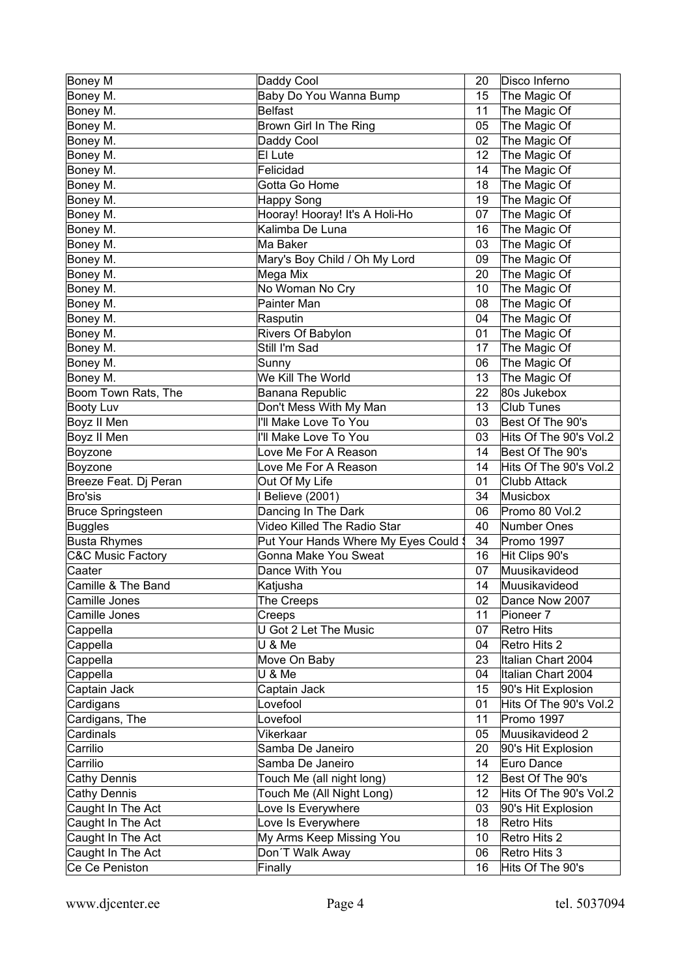| Boney M                      | Daddy Cool                           | 20 | Disco Inferno          |
|------------------------------|--------------------------------------|----|------------------------|
| Boney M.                     | Baby Do You Wanna Bump               | 15 | The Magic Of           |
| Boney M.                     | <b>Belfast</b>                       | 11 | The Magic Of           |
| Boney M.                     | Brown Girl In The Ring               | 05 | The Magic Of           |
| Boney M.                     | Daddy Cool                           | 02 | The Magic Of           |
| Boney M.                     | El Lute                              | 12 | The Magic Of           |
| Boney M.                     | Felicidad                            | 14 | The Magic Of           |
| Boney M.                     | Gotta Go Home                        | 18 | The Magic Of           |
| Boney M.                     | <b>Happy Song</b>                    | 19 | The Magic Of           |
| Boney M.                     | Hooray! Hooray! It's A Holi-Ho       | 07 | The Magic Of           |
| Boney M.                     | Kalimba De Luna                      | 16 | The Magic Of           |
| Boney M.                     | Ma Baker                             | 03 | The Magic Of           |
| Boney M.                     | Mary's Boy Child / Oh My Lord        | 09 | The Magic Of           |
| Boney M.                     | Mega Mix                             | 20 | The Magic Of           |
| Boney M.                     | No Woman No Cry                      | 10 | The Magic Of           |
| Boney M.                     | Painter Man                          | 08 | The Magic Of           |
| Boney M.                     | Rasputin                             | 04 | The Magic Of           |
| Boney M.                     | Rivers Of Babylon                    | 01 | The Magic Of           |
| Boney M.                     | Still I'm Sad                        | 17 | The Magic Of           |
| Boney M.                     | Sunny                                | 06 | The Magic Of           |
| Boney M.                     | We Kill The World                    | 13 | The Magic Of           |
| Boom Town Rats, The          | Banana Republic                      | 22 | 80s Jukebox            |
| Booty Luv                    | Don't Mess With My Man               | 13 | <b>Club Tunes</b>      |
| Boyz II Men                  | I'll Make Love To You                | 03 | Best Of The 90's       |
| Boyz II Men                  | I'll Make Love To You                | 03 | Hits Of The 90's Vol.2 |
| Boyzone                      | Love Me For A Reason                 | 14 | Best Of The 90's       |
| Boyzone                      | Love Me For A Reason                 | 14 | Hits Of The 90's Vol.2 |
| Breeze Feat. Dj Peran        | Out Of My Life                       | 01 | <b>Clubb Attack</b>    |
| Bro'sis                      | I Believe (2001)                     | 34 | Musicbox               |
| <b>Bruce Springsteen</b>     | Dancing In The Dark                  | 06 | Promo 80 Vol.2         |
| Buggles                      | Video Killed The Radio Star          | 40 | Number Ones            |
| <b>Busta Rhymes</b>          | Put Your Hands Where My Eyes Could \ | 34 | Promo 1997             |
| <b>C&amp;C Music Factory</b> | Gonna Make You Sweat                 | 16 | Hit Clips 90's         |
| Caater                       | Dance With You                       | 07 | Muusikavideod          |
| Camille & The Band           | Katjusha                             | 14 | Muusikavideod          |
| Camille Jones                | The Creeps                           | 02 | Dance Now 2007         |
| Camille Jones                | Creeps                               | 11 | Pioneer <sub>7</sub>   |
| Cappella                     | U Got 2 Let The Music                | 07 | Retro Hits             |
| Cappella                     | U & Me                               | 04 | Retro Hits 2           |
| Cappella                     | Move On Baby                         | 23 | Italian Chart 2004     |
| Cappella                     | U & Me                               | 04 | Italian Chart 2004     |
| Captain Jack                 | Captain Jack                         | 15 | 90's Hit Explosion     |
| Cardigans                    | Lovefool                             | 01 | Hits Of The 90's Vol.2 |
| Cardigans, The               | Lovefool                             | 11 | Promo 1997             |
| Cardinals                    | Vikerkaar                            | 05 | Muusikavideod 2        |
| Carrilio                     | Samba De Janeiro                     | 20 | 90's Hit Explosion     |
| Carrilio                     | Samba De Janeiro                     | 14 | Euro Dance             |
| Cathy Dennis                 | Touch Me (all night long)            | 12 | Best Of The 90's       |
| <b>Cathy Dennis</b>          | Touch Me (All Night Long)            | 12 | Hits Of The 90's Vol.2 |
| Caught In The Act            | Love Is Everywhere                   | 03 | 90's Hit Explosion     |
| Caught In The Act            | Love Is Everywhere                   | 18 | Retro Hits             |
| Caught In The Act            | My Arms Keep Missing You             | 10 | Retro Hits 2           |
| Caught In The Act            | Don'T Walk Away                      | 06 | Retro Hits 3           |
| Ce Ce Peniston               | Finally                              | 16 | Hits Of The 90's       |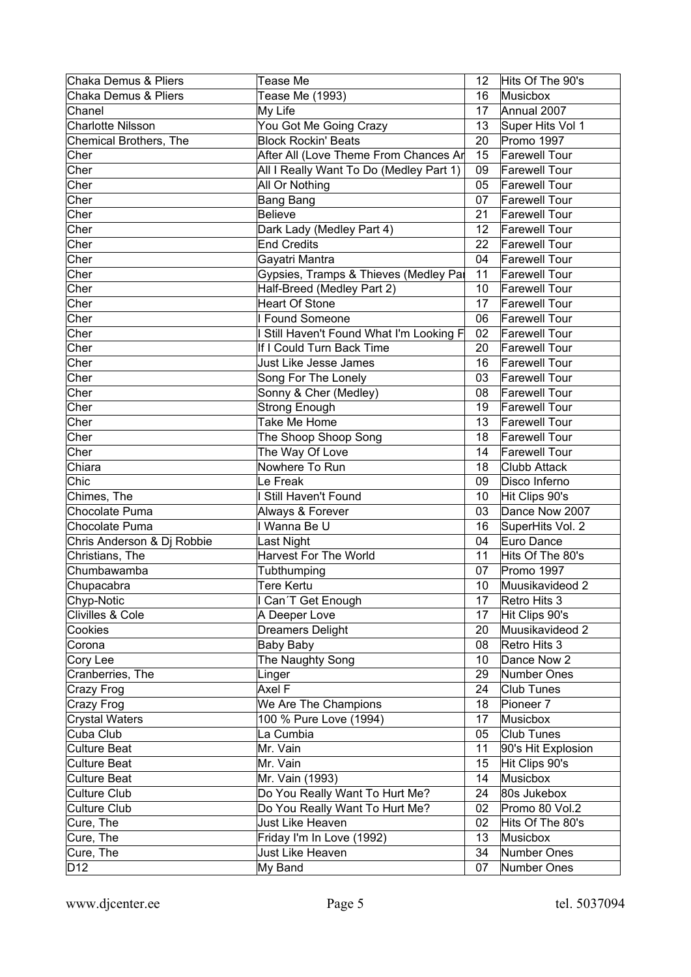| <b>Chaka Demus &amp; Pliers</b> | Tease Me                                 | 12              | Hits Of The 90's     |
|---------------------------------|------------------------------------------|-----------------|----------------------|
| <b>Chaka Demus &amp; Pliers</b> | Tease Me (1993)                          | 16              | Musicbox             |
| Chanel                          | My Life                                  | 17              | Annual 2007          |
| <b>Charlotte Nilsson</b>        | You Got Me Going Crazy                   | 13              | Super Hits Vol 1     |
| Chemical Brothers, The          | <b>Block Rockin' Beats</b>               | 20              | Promo 1997           |
| Cher                            | After All (Love Theme From Chances Ar    | 15              | <b>Farewell Tour</b> |
| Cher                            | All I Really Want To Do (Medley Part 1)  | 09              | <b>Farewell Tour</b> |
| Cher                            | All Or Nothing                           | 05              | <b>Farewell Tour</b> |
| Cher                            | <b>Bang Bang</b>                         | 07              | <b>Farewell Tour</b> |
| Cher                            | <b>Believe</b>                           | 21              | <b>Farewell Tour</b> |
| Cher                            | Dark Lady (Medley Part 4)                | 12 <sup>°</sup> | <b>Farewell Tour</b> |
| Cher                            | <b>End Credits</b>                       | 22              | <b>Farewell Tour</b> |
| Cher                            | Gayatri Mantra                           | 04              | <b>Farewell Tour</b> |
| Cher                            | Gypsies, Tramps & Thieves (Medley Par    | 11              | <b>Farewell Tour</b> |
| Cher                            | Half-Breed (Medley Part 2)               | 10              | <b>Farewell Tour</b> |
| Cher                            | <b>Heart Of Stone</b>                    | 17              | <b>Farewell Tour</b> |
| Cher                            | I Found Someone                          | 06              | <b>Farewell Tour</b> |
| Cher                            | I Still Haven't Found What I'm Looking F | 02              | <b>Farewell Tour</b> |
| Cher                            | If I Could Turn Back Time                | 20              | <b>Farewell Tour</b> |
| Cher                            | Just Like Jesse James                    | 16              | <b>Farewell Tour</b> |
| Cher                            | Song For The Lonely                      | 03              | <b>Farewell Tour</b> |
| Cher                            | Sonny & Cher (Medley)                    | 08              | <b>Farewell Tour</b> |
| Cher                            | <b>Strong Enough</b>                     | 19              | <b>Farewell Tour</b> |
| Cher                            | Take Me Home                             | 13              | <b>Farewell Tour</b> |
| Cher                            | The Shoop Shoop Song                     | 18              | <b>Farewell Tour</b> |
| Cher                            | The Way Of Love                          | 14              | <b>Farewell Tour</b> |
| Chiara                          | Nowhere To Run                           | 18              | Clubb Attack         |
| Chic                            | Le Freak                                 | 09              | Disco Inferno        |
| Chimes, The                     | I Still Haven't Found                    | 10              | Hit Clips 90's       |
| Chocolate Puma                  | Always & Forever                         | 03              | Dance Now 2007       |
| Chocolate Puma                  | I Wanna Be U                             | 16              | SuperHits Vol. 2     |
| Chris Anderson & Dj Robbie      | Last Night                               | 04              | Euro Dance           |
| Christians, The                 | <b>Harvest For The World</b>             | 11              | Hits Of The 80's     |
| Chumbawamba                     | Tubthumping                              | 07              | Promo 1997           |
| Chupacabra                      | <b>Tere Kertu</b>                        | 10              | Muusikavideod 2      |
| Chyp-Notic                      | I Can'T Get Enough                       | 17              | Retro Hits 3         |
| Clivilles & Cole                | A Deeper Love                            | 17              | Hit Clips 90's       |
| Cookies                         | <b>Dreamers Delight</b>                  | 20              | Muusikavideod 2      |
| Corona                          | Baby Baby                                | 08              | Retro Hits 3         |
| Cory Lee                        | The Naughty Song                         | 10              | Dance Now 2          |
| Cranberries, The                | Linger                                   | 29              | Number Ones          |
| Crazy Frog                      | Axel F                                   | 24              | Club Tunes           |
| Crazy Frog                      | We Are The Champions                     | 18              | Pioneer 7            |
| <b>Crystal Waters</b>           | 100 % Pure Love (1994)                   | 17              | Musicbox             |
| Cuba Club                       | La Cumbia                                | 05              | Club Tunes           |
| <b>Culture Beat</b>             | Mr. Vain                                 | 11              | 90's Hit Explosion   |
| <b>Culture Beat</b>             | Mr. Vain                                 | 15              | Hit Clips 90's       |
| <b>Culture Beat</b>             | Mr. Vain (1993)                          | 14              | Musicbox             |
| Culture Club                    | Do You Really Want To Hurt Me?           | 24              | 80s Jukebox          |
| Culture Club                    | Do You Really Want To Hurt Me?           | 02              | Promo 80 Vol.2       |
| Cure, The                       | Just Like Heaven                         | 02              | Hits Of The 80's     |
| Cure, The                       | Friday I'm In Love (1992)                | 13              | Musicbox             |
| Cure, The                       | Just Like Heaven                         | 34              | Number Ones          |
| D12                             | My Band                                  | 07              | Number Ones          |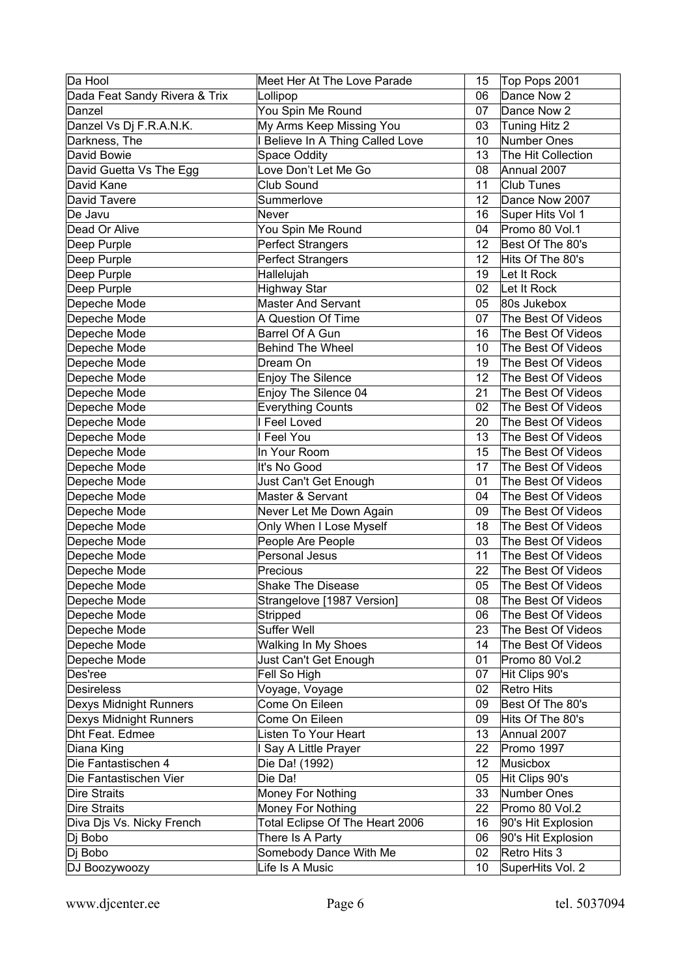| Da Hool                       | Meet Her At The Love Parade      | 15 | Top Pops 2001      |
|-------------------------------|----------------------------------|----|--------------------|
| Dada Feat Sandy Rivera & Trix | Lollipop                         | 06 | Dance Now 2        |
| Danzel                        | You Spin Me Round                | 07 | Dance Now 2        |
| Danzel Vs Dj F.R.A.N.K.       | My Arms Keep Missing You         | 03 | Tuning Hitz 2      |
| Darkness, The                 | I Believe In A Thing Called Love | 10 | Number Ones        |
| David Bowie                   | <b>Space Oddity</b>              | 13 | The Hit Collection |
| David Guetta Vs The Egg       | Love Don't Let Me Go             | 08 | Annual 2007        |
| David Kane                    | Club Sound                       | 11 | <b>Club Tunes</b>  |
| David Tavere                  | Summerlove                       | 12 | Dance Now 2007     |
| De Javu                       | Never                            | 16 | Super Hits Vol 1   |
| Dead Or Alive                 | You Spin Me Round                | 04 | Promo 80 Vol.1     |
| Deep Purple                   | <b>Perfect Strangers</b>         | 12 | Best Of The 80's   |
| Deep Purple                   | <b>Perfect Strangers</b>         | 12 | Hits Of The 80's   |
| Deep Purple                   | Hallelujah                       | 19 | Let It Rock        |
| Deep Purple                   | <b>Highway Star</b>              | 02 | Let It Rock        |
| Depeche Mode                  | <b>Master And Servant</b>        | 05 | 80s Jukebox        |
| Depeche Mode                  | A Question Of Time               | 07 | The Best Of Videos |
| Depeche Mode                  | Barrel Of A Gun                  | 16 | The Best Of Videos |
| Depeche Mode                  | <b>Behind The Wheel</b>          | 10 | The Best Of Videos |
| Depeche Mode                  | Dream On                         | 19 | The Best Of Videos |
| Depeche Mode                  | <b>Enjoy The Silence</b>         | 12 | The Best Of Videos |
| Depeche Mode                  | Enjoy The Silence 04             | 21 | The Best Of Videos |
| Depeche Mode                  | <b>Everything Counts</b>         | 02 | The Best Of Videos |
| Depeche Mode                  | I Feel Loved                     | 20 | The Best Of Videos |
| Depeche Mode                  | I Feel You                       | 13 | The Best Of Videos |
| Depeche Mode                  | In Your Room                     | 15 | The Best Of Videos |
| Depeche Mode                  | It's No Good                     | 17 | The Best Of Videos |
| Depeche Mode                  | Just Can't Get Enough            | 01 | The Best Of Videos |
| Depeche Mode                  | Master & Servant                 | 04 | The Best Of Videos |
| Depeche Mode                  | Never Let Me Down Again          | 09 | The Best Of Videos |
| Depeche Mode                  | Only When I Lose Myself          | 18 | The Best Of Videos |
| Depeche Mode                  | People Are People                | 03 | The Best Of Videos |
| Depeche Mode                  | Personal Jesus                   | 11 | The Best Of Videos |
| Depeche Mode                  | Precious                         | 22 | The Best Of Videos |
| Depeche Mode                  | <b>Shake The Disease</b>         | 05 | The Best Of Videos |
| Depeche Mode                  | Strangelove [1987 Version]       | 08 | The Best Of Videos |
| Depeche Mode                  | Stripped                         | 06 | The Best Of Videos |
| Depeche Mode                  | Suffer Well                      | 23 | The Best Of Videos |
| Depeche Mode                  | <b>Walking In My Shoes</b>       | 14 | The Best Of Videos |
| Depeche Mode                  | Just Can't Get Enough            | 01 | Promo 80 Vol.2     |
| Des'ree                       | Fell So High                     | 07 | Hit Clips 90's     |
| <b>Desireless</b>             | Voyage, Voyage                   | 02 | Retro Hits         |
| Dexys Midnight Runners        | Come On Eileen                   | 09 | Best Of The 80's   |
| Dexys Midnight Runners        | Come On Eileen                   | 09 | Hits Of The 80's   |
| Dht Feat. Edmee               | Listen To Your Heart             | 13 | Annual 2007        |
| Diana King                    | I Say A Little Prayer            | 22 | Promo 1997         |
| Die Fantastischen 4           | Die Da! (1992)                   | 12 | <b>Musicbox</b>    |
| Die Fantastischen Vier        | Die Da!                          | 05 | Hit Clips 90's     |
| <b>Dire Straits</b>           | Money For Nothing                | 33 | Number Ones        |
| <b>Dire Straits</b>           | Money For Nothing                | 22 | Promo 80 Vol.2     |
| Diva Djs Vs. Nicky French     | Total Eclipse Of The Heart 2006  | 16 | 90's Hit Explosion |
| Dj Bobo                       | There Is A Party                 | 06 | 90's Hit Explosion |
| Dj Bobo                       | Somebody Dance With Me           | 02 | Retro Hits 3       |
| DJ Boozywoozy                 | Life Is A Music                  | 10 | SuperHits Vol. 2   |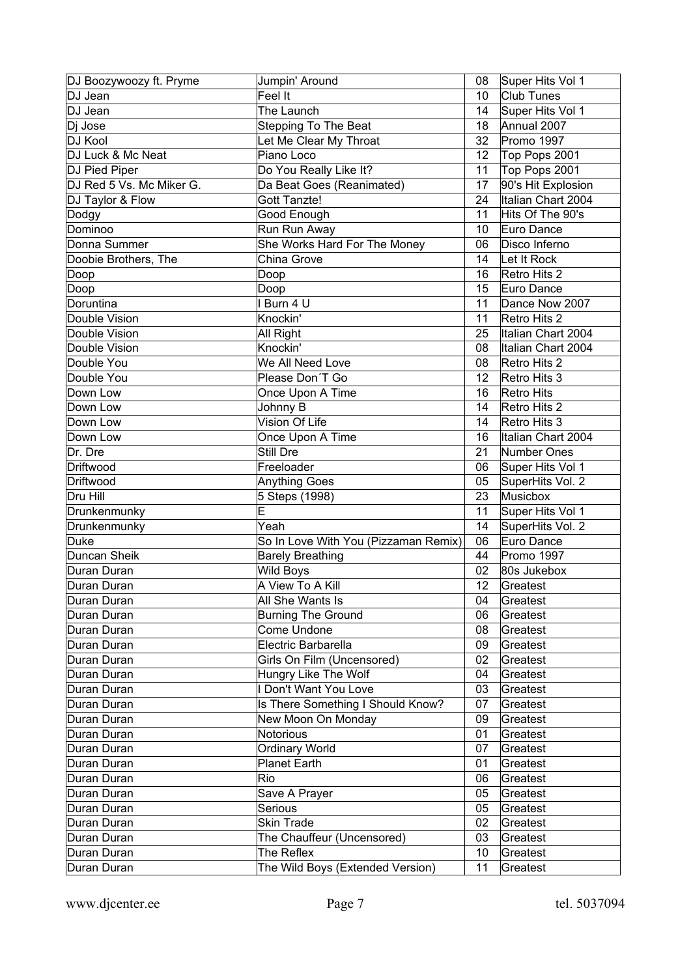| DJ Boozywoozy ft. Pryme  | Jumpin' Around                        | 08 | Super Hits Vol 1               |
|--------------------------|---------------------------------------|----|--------------------------------|
| DJ Jean                  | Feel It                               | 10 | <b>Club Tunes</b>              |
| DJ Jean                  | The Launch                            | 14 | Super Hits Vol 1               |
| Dj Jose                  | <b>Stepping To The Beat</b>           | 18 | Annual 2007                    |
| DJ Kool                  | Let Me Clear My Throat                | 32 | Promo 1997                     |
| DJ Luck & Mc Neat        | Piano Loco                            | 12 | Top Pops 2001                  |
| DJ Pied Piper            | Do You Really Like It?                | 11 | Top Pops 2001                  |
| DJ Red 5 Vs. Mc Miker G. | Da Beat Goes (Reanimated)             | 17 | 90's Hit Explosion             |
| DJ Taylor & Flow         | Gott Tanzte!                          | 24 | Italian Chart 2004             |
| Dodgy                    | Good Enough                           | 11 | Hits Of The 90's               |
| Dominoo                  | Run Run Away                          | 10 | Euro Dance                     |
| Donna Summer             | She Works Hard For The Money          | 06 | Disco Inferno                  |
| Doobie Brothers, The     | China Grove                           | 14 | Let It Rock                    |
| Doop                     | Doop                                  | 16 | Retro Hits 2                   |
| Doop                     | Doop                                  | 15 | Euro Dance                     |
| Doruntina                | I Burn 4 U                            | 11 | Dance Now 2007                 |
| Double Vision            | Knockin'                              | 11 | Retro Hits 2                   |
| Double Vision            | All Right                             | 25 | Italian Chart 2004             |
| Double Vision            | Knockin'                              | 08 | Italian Chart 2004             |
| Double You               | We All Need Love                      | 08 | Retro Hits 2                   |
| Double You               | Please Don'T Go                       | 12 | Retro Hits 3                   |
| Down Low                 | Once Upon A Time                      | 16 | Retro Hits                     |
| Down Low                 | Johnny B                              | 14 | Retro Hits 2                   |
| Down Low                 | Vision Of Life                        | 14 | Retro Hits 3                   |
| Down Low                 | Once Upon A Time                      | 16 | Italian Chart 2004             |
| Dr. Dre                  | Still Dre                             | 21 | Number Ones                    |
| Driftwood                |                                       |    |                                |
| Driftwood                | Freeloader                            | 06 | Super Hits Vol 1               |
|                          | <b>Anything Goes</b>                  | 05 | SuperHits Vol. 2               |
| Dru Hill                 | 5 Steps (1998)<br>$\overline{\sf{E}}$ | 23 | Musicbox                       |
| Drunkenmunky             | $\overline{Y}$ eah                    | 11 | Super Hits Vol 1               |
| Drunkenmunky<br>Duke     |                                       | 14 | SuperHits Vol. 2<br>Euro Dance |
| Duncan Sheik             | So In Love With You (Pizzaman Remix)  | 06 |                                |
|                          | <b>Barely Breathing</b>               | 44 | Promo 1997                     |
| Duran Duran              | Wild Boys                             | 02 | 80s Jukebox                    |
| Duran Duran              | A View To A Kill                      | 12 | Greatest                       |
| Duran Duran              | All She Wants Is                      | 04 | Greatest                       |
| Duran Duran              | <b>Burning The Ground</b>             | 06 | Greatest                       |
| Duran Duran              | Come Undone                           | 08 | Greatest                       |
| Duran Duran              | Electric Barbarella                   | 09 | Greatest                       |
| Duran Duran              | Girls On Film (Uncensored)            | 02 | Greatest                       |
| Duran Duran              | Hungry Like The Wolf                  | 04 | Greatest                       |
| Duran Duran              | I Don't Want You Love                 | 03 | Greatest                       |
| Duran Duran              | Is There Something I Should Know?     | 07 | Greatest                       |
| Duran Duran              | New Moon On Monday                    | 09 | Greatest                       |
| Duran Duran              | <b>Notorious</b>                      | 01 | Greatest                       |
| Duran Duran              | <b>Ordinary World</b>                 | 07 | Greatest                       |
| Duran Duran              | Planet Earth                          | 01 | Greatest                       |
| Duran Duran              | Rio                                   | 06 | Greatest                       |
| Duran Duran              | Save A Prayer                         | 05 | Greatest                       |
| Duran Duran              | Serious                               | 05 | Greatest                       |
| Duran Duran              | <b>Skin Trade</b>                     | 02 | Greatest                       |
| Duran Duran              | The Chauffeur (Uncensored)            | 03 | Greatest                       |
| Duran Duran              | The Reflex                            | 10 | Greatest                       |
| Duran Duran              | The Wild Boys (Extended Version)      | 11 | Greatest                       |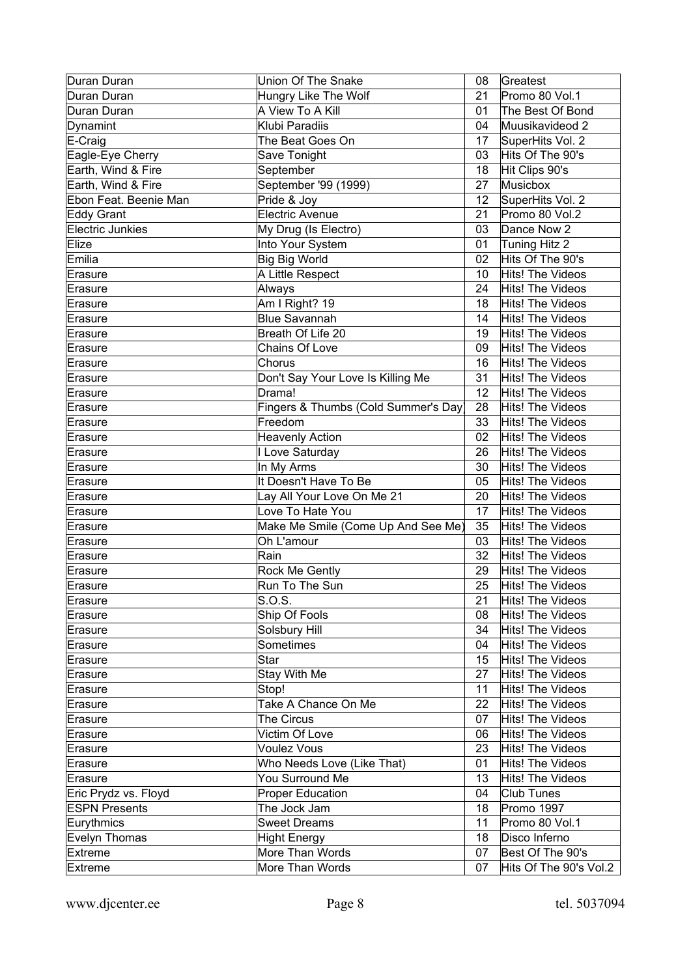| Duran Duran             | <b>Union Of The Snake</b>           | 08 | Greatest                |
|-------------------------|-------------------------------------|----|-------------------------|
| Duran Duran             | Hungry Like The Wolf                | 21 | Promo 80 Vol.1          |
| Duran Duran             | A View To A Kill                    | 01 | The Best Of Bond        |
| Dynamint                | Klubi Paradiis                      | 04 | Muusikavideod 2         |
| E-Craig                 | The Beat Goes On                    | 17 | SuperHits Vol. 2        |
| Eagle-Eye Cherry        | Save Tonight                        | 03 | Hits Of The 90's        |
| Earth, Wind & Fire      | September                           | 18 | Hit Clips 90's          |
| Earth, Wind & Fire      | September '99 (1999)                | 27 | Musicbox                |
| Ebon Feat. Beenie Man   | Pride & Joy                         | 12 | SuperHits Vol. 2        |
| <b>Eddy Grant</b>       | <b>Electric Avenue</b>              | 21 | Promo 80 Vol.2          |
| <b>Electric Junkies</b> | My Drug (Is Electro)                | 03 | Dance Now 2             |
| Elize                   | Into Your System                    | 01 | Tuning Hitz 2           |
| Emilia                  | <b>Big Big World</b>                | 02 | Hits Of The 90's        |
| Erasure                 | A Little Respect                    | 10 | Hits! The Videos        |
| Erasure                 | Always                              | 24 | Hits! The Videos        |
| ∣Erasure                | Am I Right? 19                      | 18 | <b>Hits! The Videos</b> |
| Erasure                 | Blue Savannah                       | 14 | <b>Hits! The Videos</b> |
| Erasure                 | Breath Of Life 20                   | 19 | Hits! The Videos        |
| Erasure                 | Chains Of Love                      | 09 | Hits! The Videos        |
| Erasure                 | Chorus                              | 16 | Hits! The Videos        |
| Erasure                 | Don't Say Your Love Is Killing Me   | 31 | Hits! The Videos        |
| Erasure                 | Drama!                              | 12 | Hits! The Videos        |
| Erasure                 | Fingers & Thumbs (Cold Summer's Day | 28 | Hits! The Videos        |
| Erasure                 | Freedom                             | 33 | <b>Hits! The Videos</b> |
| Erasure                 | <b>Heavenly Action</b>              | 02 | <b>Hits! The Videos</b> |
| Erasure                 | I Love Saturday                     | 26 | Hits! The Videos        |
| Erasure                 | In My Arms                          | 30 | Hits! The Videos        |
|                         | It Doesn't Have To Be               | 05 | Hits! The Videos        |
| ∣Erasure                | Lay All Your Love On Me 21          | 20 | Hits! The Videos        |
| Erasure                 | Love To Hate You                    | 17 | Hits! The Videos        |
| Erasure                 | Make Me Smile (Come Up And See Me)  | 35 | Hits! The Videos        |
| Erasure                 | Oh L'amour                          | 03 | <b>Hits! The Videos</b> |
| Erasure                 | Rain                                | 32 | Hits! The Videos        |
| Erasure                 |                                     | 29 |                         |
| Erasure                 | Rock Me Gently<br>Run To The Sun    |    | Hits! The Videos        |
| Erasure                 |                                     | 25 | Hits! The Videos        |
| Erasure                 | S.O.S.                              | 21 | Hits! The Videos        |
| Erasure                 | Ship Of Fools                       | 08 | <b>Hits! The Videos</b> |
| Erasure                 | Solsbury Hill                       | 34 | <b>Hits! The Videos</b> |
| Erasure                 | Sometimes                           | 04 | <b>Hits! The Videos</b> |
| Erasure                 | Star                                | 15 | <b>Hits! The Videos</b> |
| Erasure                 | Stay With Me                        | 27 | <b>Hits! The Videos</b> |
| Erasure                 | Stop!                               | 11 | <b>Hits! The Videos</b> |
| Erasure                 | Take A Chance On Me                 | 22 | Hits! The Videos        |
| Erasure                 | The Circus                          | 07 | Hits! The Videos        |
| Erasure                 | Victim Of Love                      | 06 | Hits! The Videos        |
| Erasure                 | <b>Voulez Vous</b>                  | 23 | Hits! The Videos        |
| Erasure                 | Who Needs Love (Like That)          | 01 | Hits! The Videos        |
| Erasure                 | You Surround Me                     | 13 | <b>Hits! The Videos</b> |
| Eric Prydz vs. Floyd    | Proper Education                    | 04 | <b>Club Tunes</b>       |
| <b>ESPN Presents</b>    | The Jock Jam                        | 18 | Promo 1997              |
| Eurythmics              | <b>Sweet Dreams</b>                 | 11 | Promo 80 Vol.1          |
| Evelyn Thomas           | <b>Hight Energy</b>                 | 18 | Disco Inferno           |
| Extreme                 | More Than Words                     | 07 | Best Of The 90's        |
| <b>Extreme</b>          | More Than Words                     | 07 | Hits Of The 90's Vol.2  |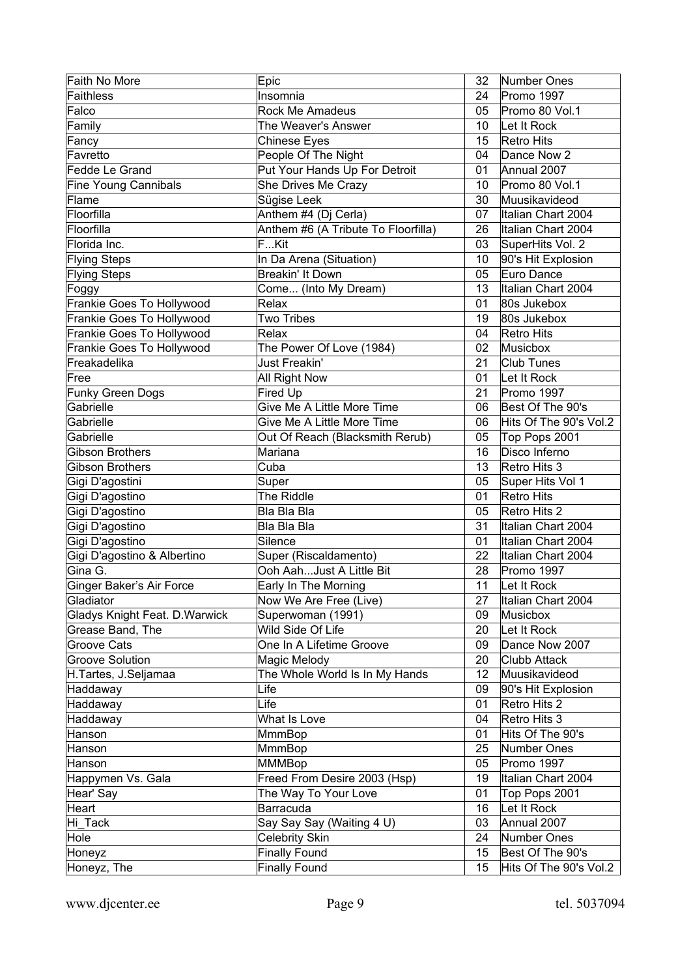| Faith No More                  | Epic                                | 32 | Number Ones            |
|--------------------------------|-------------------------------------|----|------------------------|
| <b>Faithless</b>               | Insomnia                            | 24 | Promo 1997             |
| Falco                          | <b>Rock Me Amadeus</b>              | 05 | Promo 80 Vol.1         |
| Family                         | The Weaver's Answer                 | 10 | Let It Rock            |
| Fancy                          | <b>Chinese Eyes</b>                 | 15 | <b>Retro Hits</b>      |
| Favretto                       | People Of The Night                 | 04 | Dance Now 2            |
| Fedde Le Grand                 | Put Your Hands Up For Detroit       | 01 | Annual 2007            |
| <b>Fine Young Cannibals</b>    | She Drives Me Crazy                 | 10 | Promo 80 Vol.1         |
| Flame                          | Sügise Leek                         | 30 | Muusikavideod          |
| Floorfilla                     | Anthem #4 (Dj Cerla)                | 07 | Italian Chart 2004     |
| Floorfilla                     | Anthem #6 (A Tribute To Floorfilla) | 26 | Italian Chart 2004     |
| Florida Inc.                   | FKit                                | 03 | SuperHits Vol. 2       |
| <b>Flying Steps</b>            | In Da Arena (Situation)             | 10 | 90's Hit Explosion     |
| <b>Flying Steps</b>            | <b>Breakin' It Down</b>             | 05 | Euro Dance             |
| Foggy                          | Come (Into My Dream)                | 13 | Italian Chart 2004     |
| Frankie Goes To Hollywood      | Relax                               | 01 | 80s Jukebox            |
| Frankie Goes To Hollywood      | <b>Two Tribes</b>                   | 19 | 80s Jukebox            |
| Frankie Goes To Hollywood      | Relax                               | 04 | Retro Hits             |
| Frankie Goes To Hollywood      | The Power Of Love (1984)            | 02 | Musicbox               |
| Freakadelika                   | Just Freakin'                       | 21 | <b>Club Tunes</b>      |
| Free                           | All Right Now                       | 01 | Let It Rock            |
| Funky Green Dogs               | Fired Up                            | 21 | Promo 1997             |
| Gabrielle                      | Give Me A Little More Time          | 06 | Best Of The 90's       |
| Gabrielle                      | Give Me A Little More Time          | 06 | Hits Of The 90's Vol.2 |
| Gabrielle                      | Out Of Reach (Blacksmith Rerub)     | 05 | Top Pops 2001          |
| <b>Gibson Brothers</b>         | Mariana                             | 16 | Disco Inferno          |
| <b>Gibson Brothers</b>         | Cuba                                | 13 | Retro Hits 3           |
| Gigi D'agostini                | Super                               | 05 | Super Hits Vol 1       |
| Gigi D'agostino                | The Riddle                          | 01 | Retro Hits             |
| Gigi D'agostino                | Bla Bla Bla                         | 05 | Retro Hits 2           |
| Gigi D'agostino                | Bla Bla Bla                         | 31 | Italian Chart 2004     |
| Gigi D'agostino                | Silence                             | 01 | Italian Chart 2004     |
| Gigi D'agostino & Albertino    | Super (Riscaldamento)               | 22 | Italian Chart 2004     |
| Gina G.                        | Ooh AahJust A Little Bit            | 28 | Promo 1997             |
| Ginger Baker's Air Force       | Early In The Morning                | 11 | Let It Rock            |
| Gladiator                      | Now We Are Free (Live)              | 27 | Italian Chart 2004     |
| Gladys Knight Feat. D. Warwick | Superwoman (1991)                   | 09 | Musicbox               |
| Grease Band, The               | Wild Side Of Life                   | 20 | Let It Rock            |
| <b>Groove Cats</b>             | One In A Lifetime Groove            | 09 | Dance Now 2007         |
| <b>Groove Solution</b>         | Magic Melody                        | 20 | Clubb Attack           |
| H.Tartes, J.Seljamaa           | The Whole World Is In My Hands      | 12 | Muusikavideod          |
| Haddaway                       | Life                                | 09 | 90's Hit Explosion     |
| Haddaway                       | Life                                | 01 | Retro Hits 2           |
| Haddaway                       | What Is Love                        | 04 | Retro Hits 3           |
| Hanson                         | <b>MmmBop</b>                       | 01 | Hits Of The 90's       |
| Hanson                         | <b>MmmBop</b>                       | 25 | Number Ones            |
| Hanson                         | <b>MMMBop</b>                       | 05 | Promo 1997             |
| Happymen Vs. Gala              | Freed From Desire 2003 (Hsp)        | 19 | Italian Chart 2004     |
| Hear' Say                      | The Way To Your Love                | 01 | Top Pops 2001          |
| Heart                          | Barracuda                           | 16 | Let It Rock            |
| Hi_Tack                        | Say Say Say (Waiting 4 U)           | 03 | Annual 2007            |
| Hole                           | <b>Celebrity Skin</b>               | 24 | Number Ones            |
| Honeyz                         | <b>Finally Found</b>                | 15 | Best Of The 90's       |
| Honeyz, The                    | <b>Finally Found</b>                | 15 | Hits Of The 90's Vol.2 |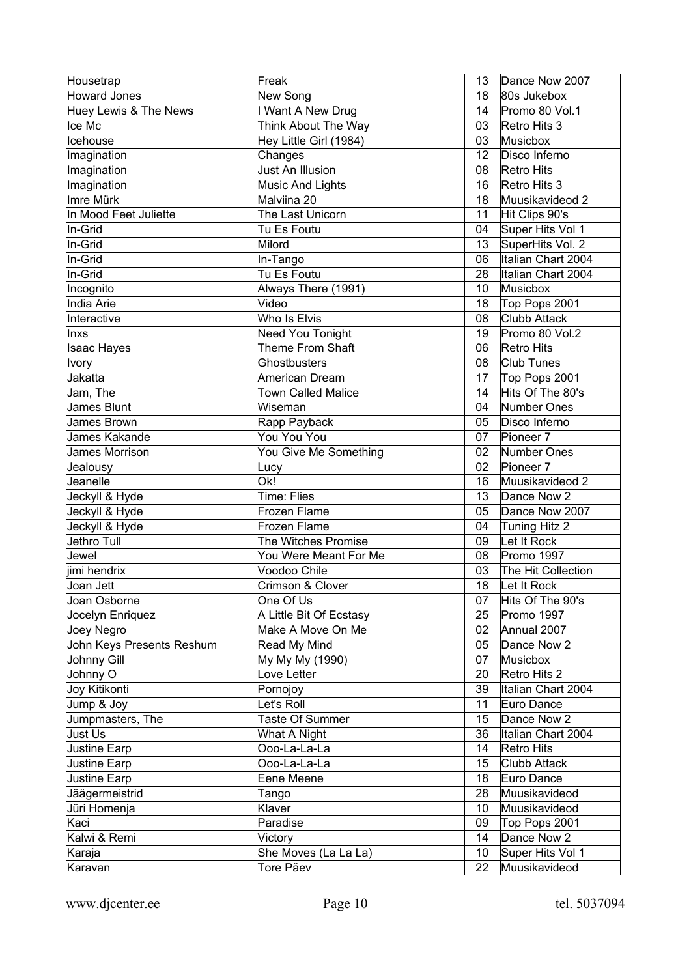| Housetrap                 | Freak                     | 13 | Dance Now 2007       |
|---------------------------|---------------------------|----|----------------------|
| <b>Howard Jones</b>       | New Song                  | 18 | 80s Jukebox          |
| Huey Lewis & The News     | I Want A New Drug         | 14 | Promo 80 Vol.1       |
| Ice Mc                    | Think About The Way       | 03 | Retro Hits 3         |
| Icehouse                  | Hey Little Girl (1984)    | 03 | Musicbox             |
| Imagination               | Changes                   | 12 | Disco Inferno        |
| Imagination               | Just An Illusion          | 08 | Retro Hits           |
| Imagination               | <b>Music And Lights</b>   | 16 | Retro Hits 3         |
| Imre Mürk                 | Malviina 20               | 18 | Muusikavideod 2      |
| In Mood Feet Juliette     | The Last Unicorn          | 11 | Hit Clips 90's       |
| In-Grid                   | Tu Es Foutu               | 04 | Super Hits Vol 1     |
| In-Grid                   | Milord                    | 13 | SuperHits Vol. 2     |
| In-Grid                   | In-Tango                  | 06 | Italian Chart 2004   |
| In-Grid                   | Tu Es Foutu               | 28 | Italian Chart 2004   |
| Incognito                 | Always There (1991)       | 10 | Musicbox             |
| <b>India Arie</b>         | Video                     | 18 | Top Pops 2001        |
| Interactive               | Who Is Elvis              | 08 | <b>Clubb Attack</b>  |
| Inxs                      | Need You Tonight          | 19 | Promo 80 Vol.2       |
| <b>Isaac Hayes</b>        | Theme From Shaft          | 06 | Retro Hits           |
| Ivory                     | Ghostbusters              | 08 | <b>Club Tunes</b>    |
| Jakatta                   | American Dream            | 17 | Top Pops 2001        |
| Jam, The                  | <b>Town Called Malice</b> | 14 | Hits Of The 80's     |
| James Blunt               | Wiseman                   | 04 | Number Ones          |
| James Brown               | Rapp Payback              | 05 | Disco Inferno        |
| James Kakande             | You You You               | 07 | Pioneer <sub>7</sub> |
| James Morrison            |                           | 02 | Number Ones          |
|                           | You Give Me Something     | 02 | Pioneer <sub>7</sub> |
| Jealousy<br>Jeanelle      | Lucy<br>Ok!               | 16 |                      |
|                           | Time: Flies               |    | Muusikavideod 2      |
| Jeckyll & Hyde            |                           | 13 | Dance Now 2          |
| Jeckyll & Hyde            | Frozen Flame              | 05 | Dance Now 2007       |
| Jeckyll & Hyde            | Frozen Flame              | 04 | Tuning Hitz 2        |
| Jethro Tull               | The Witches Promise       | 09 | Let It Rock          |
| Jewel                     | You Were Meant For Me     | 08 | Promo 1997           |
| jimi hendrix              | Voodoo Chile              | 03 | The Hit Collection   |
| Joan Jett                 | Crimson & Clover          | 18 | Let It Rock          |
| Joan Osborne              | One Of Us                 | 07 | Hits Of The 90's     |
| Jocelyn Enriquez          | A Little Bit Of Ecstasy   | 25 | Promo 1997           |
| Joey Negro                | Make A Move On Me         | 02 | Annual 2007          |
| John Keys Presents Reshum | Read My Mind              | 05 | Dance Now 2          |
| Johnny Gill               | My My My (1990)           | 07 | Musicbox             |
| Johnny O                  | Love Letter               | 20 | Retro Hits 2         |
| Joy Kitikonti             | Pornojoy                  | 39 | Italian Chart 2004   |
| Jump & Joy                | Let's Roll                | 11 | Euro Dance           |
| Jumpmasters, The          | Taste Of Summer           | 15 | Dance Now 2          |
| Just Us                   | What A Night              | 36 | Italian Chart 2004   |
| <b>Justine Earp</b>       | Ooo-La-La-La              | 14 | Retro Hits           |
| Justine Earp              | Ooo-La-La-La              | 15 | Clubb Attack         |
| <b>Justine Earp</b>       | Eene Meene                | 18 | Euro Dance           |
| Jäägermeistrid            | Tango                     | 28 | Muusikavideod        |
| Jüri Homenja              | Klaver                    | 10 | Muusikavideod        |
| Kaci                      | Paradise                  | 09 | Top Pops 2001        |
| Kalwi & Remi              | Victory                   | 14 | Dance Now 2          |
| Karaja                    | She Moves (La La La)      | 10 | Super Hits Vol 1     |
| Karavan                   | Tore Päev                 | 22 | Muusikavideod        |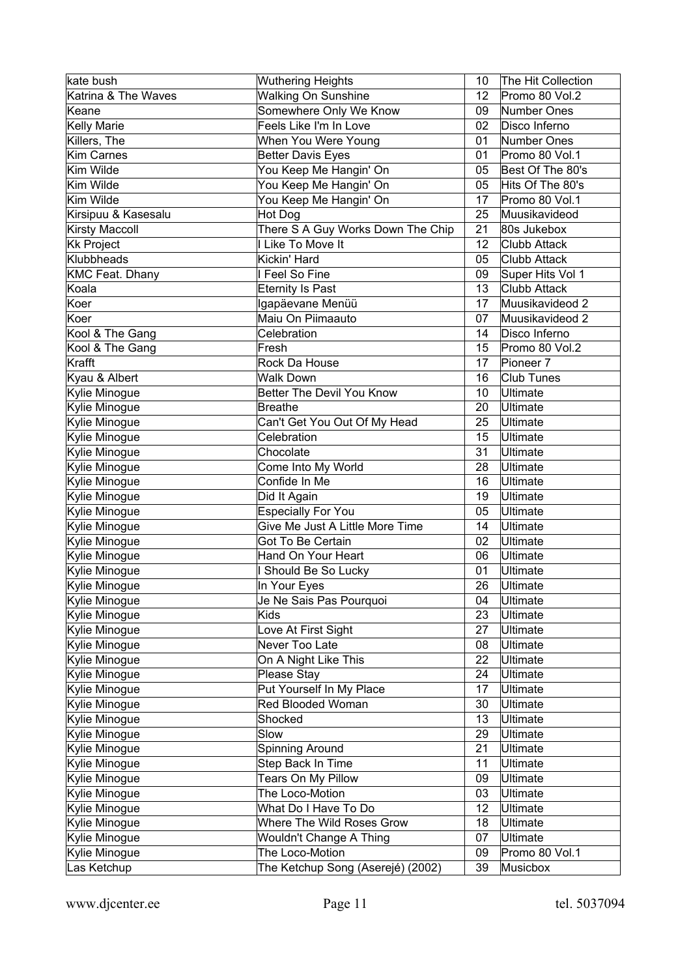| kate bush              | <b>Wuthering Heights</b>          | 10              | The Hit Collection   |
|------------------------|-----------------------------------|-----------------|----------------------|
| Katrina & The Waves    | <b>Walking On Sunshine</b>        | 12              | Promo 80 Vol.2       |
| Keane                  | Somewhere Only We Know            | 09              | Number Ones          |
| <b>Kelly Marie</b>     | Feels Like I'm In Love            | 02 <sub>2</sub> | Disco Inferno        |
| Killers, The           | When You Were Young               | 01              | Number Ones          |
| <b>Kim Carnes</b>      | <b>Better Davis Eyes</b>          | 01              | Promo 80 Vol.1       |
| Kim Wilde              | You Keep Me Hangin' On            | 05              | Best Of The 80's     |
| Kim Wilde              | You Keep Me Hangin' On            | 05              | Hits Of The 80's     |
| Kim Wilde              | You Keep Me Hangin' On            | 17              | Promo 80 Vol.1       |
| Kirsipuu & Kasesalu    | Hot Dog                           | 25              | Muusikavideod        |
| <b>Kirsty Maccoll</b>  | There S A Guy Works Down The Chip | 21              | 80s Jukebox          |
| <b>Kk Project</b>      | I Like To Move It                 | 12              | Clubb Attack         |
| Klubbheads             | Kickin' Hard                      | 05              | <b>Clubb Attack</b>  |
| <b>KMC Feat. Dhany</b> | I Feel So Fine                    | 09              | Super Hits Vol 1     |
| Koala                  | <b>Eternity Is Past</b>           | 13              | <b>Clubb Attack</b>  |
| Koer                   | Igapäevane Menüü                  | 17              | Muusikavideod 2      |
| Koer                   | Maiu On Piimaauto                 | 07              | Muusikavideod 2      |
| Kool & The Gang        | Celebration                       | 14              | Disco Inferno        |
| Kool & The Gang        | Fresh                             | 15              | Promo 80 Vol.2       |
| Krafft                 | Rock Da House                     | 17              | Pioneer <sub>7</sub> |
| Kyau & Albert          | <b>Walk Down</b>                  | 16              | <b>Club Tunes</b>    |
| Kylie Minogue          | <b>Better The Devil You Know</b>  | 10              | Ultimate             |
| Kylie Minogue          | <b>Breathe</b>                    | 20              | Ultimate             |
| Kylie Minogue          | Can't Get You Out Of My Head      | 25              | Ultimate             |
| Kylie Minogue          | Celebration                       | 15              | Ultimate             |
| Kylie Minogue          | Chocolate                         | 31              | Ultimate             |
| Kylie Minogue          | Come Into My World                | 28              | Ultimate             |
| Kylie Minogue          | Confide In Me                     | 16              | Ultimate             |
| Kylie Minogue          | Did It Again                      | 19              | Ultimate             |
| Kylie Minogue          | <b>Especially For You</b>         | 05              | Ultimate             |
| Kylie Minogue          | Give Me Just A Little More Time   | 14              | Ultimate             |
| Kylie Minogue          | Got To Be Certain                 | 02              | Ultimate             |
| Kylie Minogue          | Hand On Your Heart                | 06              | Ultimate             |
| Kylie Minogue          | I Should Be So Lucky              | 01              | Ultimate             |
| Kylie Minogue          | In Your Eyes                      | 26              | Ultimate             |
| Kylie Minogue          | Je Ne Sais Pas Pourquoi           | 04              | Ultimate             |
| Kylie Minogue          | <b>Kids</b>                       | 23              | Ultimate             |
| Kylie Minogue          | Love At First Sight               | 27              | Ultimate             |
| Kylie Minogue          | Never Too Late                    | 08              | Ultimate             |
| Kylie Minogue          | On A Night Like This              | 22              | Ultimate             |
| Kylie Minogue          | Please Stay                       | 24              | Ultimate             |
| Kylie Minogue          | Put Yourself In My Place          | 17              | Ultimate             |
| Kylie Minogue          | Red Blooded Woman                 | 30              | Ultimate             |
| Kylie Minogue          | Shocked                           | 13              | Ultimate             |
| Kylie Minogue          | Slow                              | 29              | Ultimate             |
| Kylie Minogue          | Spinning Around                   | 21              | Ultimate             |
| Kylie Minogue          | Step Back In Time                 | 11              | Ultimate             |
| Kylie Minogue          | Tears On My Pillow                | 09              | Ultimate             |
| Kylie Minogue          | The Loco-Motion                   | 03              | Ultimate             |
| Kylie Minogue          | What Do I Have To Do              | 12              | Ultimate             |
| Kylie Minogue          | Where The Wild Roses Grow         | 18              | Ultimate             |
| Kylie Minogue          | Wouldn't Change A Thing           | 07              | Ultimate             |
| Kylie Minogue          | The Loco-Motion                   | 09              | Promo 80 Vol.1       |
| Las Ketchup            | The Ketchup Song (Aserejé) (2002) | 39              | Musicbox             |
|                        |                                   |                 |                      |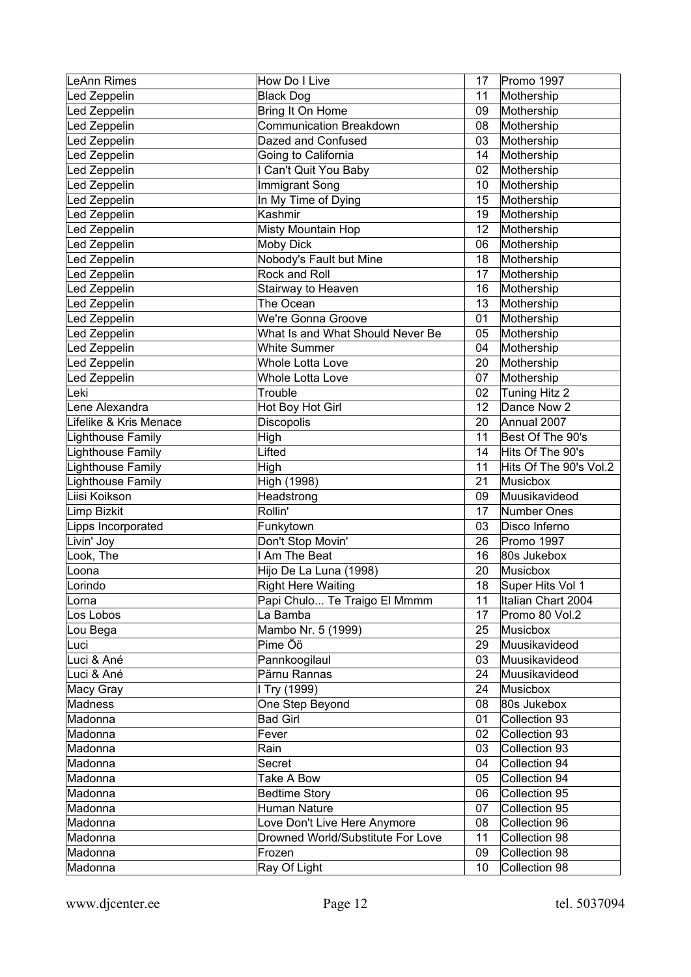| LeAnn Rimes            | How Do I Live                     | 17 | Promo 1997                     |
|------------------------|-----------------------------------|----|--------------------------------|
| Led Zeppelin           | <b>Black Dog</b>                  | 11 | Mothership                     |
| Led Zeppelin           | Bring It On Home                  | 09 | Mothership                     |
| Led Zeppelin           | Communication Breakdown           | 08 | Mothership                     |
| Led Zeppelin           | Dazed and Confused                | 03 | Mothership                     |
| Led Zeppelin           | Going to California               | 14 | Mothership                     |
| Led Zeppelin           | I Can't Quit You Baby             | 02 | Mothership                     |
| Led Zeppelin           | <b>Immigrant Song</b>             | 10 | Mothership                     |
| Led Zeppelin           | In My Time of Dying               | 15 | Mothership                     |
| Led Zeppelin           | Kashmir                           | 19 | Mothership                     |
| Led Zeppelin           | Misty Mountain Hop                | 12 | Mothership                     |
| Led Zeppelin           | <b>Moby Dick</b>                  | 06 | Mothership                     |
| Led Zeppelin           | Nobody's Fault but Mine           | 18 | Mothership                     |
| Led Zeppelin           | Rock and Roll                     | 17 | Mothership                     |
| Led Zeppelin           | Stairway to Heaven                | 16 | Mothership                     |
| Led Zeppelin           | The Ocean                         | 13 | Mothership                     |
| Led Zeppelin           | We're Gonna Groove                | 01 | Mothership                     |
| Led Zeppelin           | What Is and What Should Never Be  | 05 | Mothership                     |
| Led Zeppelin           | <b>White Summer</b>               | 04 | Mothership                     |
| Led Zeppelin           | Whole Lotta Love                  | 20 | Mothership                     |
| Led Zeppelin           | Whole Lotta Love                  | 07 | Mothership                     |
| Leki                   | Trouble                           | 02 | Tuning Hitz 2                  |
| Lene Alexandra         | Hot Boy Hot Girl                  | 12 | Dance Now 2                    |
| Lifelike & Kris Menace | Discopolis                        | 20 | Annual 2007                    |
| Lighthouse Family      | High                              | 11 | Best Of The 90's               |
| Lighthouse Family      | Lifted                            | 14 | Hits Of The 90's               |
| Lighthouse Family      | High                              | 11 | Hits Of The 90's Vol.2         |
|                        |                                   |    |                                |
| Lighthouse Family      | High (1998)                       | 21 | <b>Musicbox</b>                |
| Liisi Koikson          | Headstrong                        | 09 | Muusikavideod                  |
| Limp Bizkit            | Rollin'                           | 17 | <b>Number Ones</b>             |
| Lipps Incorporated     | Funkytown                         | 03 | Disco Inferno                  |
| Livin' Joy             | Don't Stop Movin'                 | 26 | Promo 1997                     |
| Look, The              | I Am The Beat                     | 16 | 80s Jukebox                    |
| Loona                  | Hijo De La Luna (1998)            | 20 | Musicbox                       |
| Lorindo                | <b>Right Here Waiting</b>         | 18 | Super Hits Vol 1               |
| Lorna                  | Papi Chulo Te Traigo El Mmmm      | 11 | Italian Chart 2004             |
| Los Lobos              | La Bamba                          | 17 | Promo 80 Vol.2                 |
| Lou Bega               | Mambo Nr. 5 (1999)                | 25 | Musicbox                       |
| Luci                   | Pime Öö                           | 29 | Muusikavideod                  |
| Luci & Ané             | Pannkoogilaul                     | 03 | Muusikavideod                  |
| Luci & Ané             | Pärnu Rannas                      | 24 | Muusikavideod                  |
| Macy Gray              | I Try (1999)                      | 24 | Musicbox                       |
| Madness                | One Step Beyond                   | 08 | 80s Jukebox                    |
| Madonna                | <b>Bad Girl</b>                   | 01 | Collection 93                  |
| Madonna                | Fever                             | 02 | Collection 93                  |
| Madonna                | Rain                              | 03 | Collection 93                  |
| Madonna                | Secret                            | 04 | Collection 94                  |
| Madonna                | Take A Bow                        | 05 | Collection 94                  |
| Madonna                | <b>Bedtime Story</b>              | 06 | Collection 95                  |
| Madonna                | Human Nature                      | 07 | Collection 95                  |
| Madonna                | Love Don't Live Here Anymore      | 08 | Collection 96                  |
| Madonna                | Drowned World/Substitute For Love | 11 | Collection 98                  |
| Madonna                | Frozen                            | 09 | Collection 98<br>Collection 98 |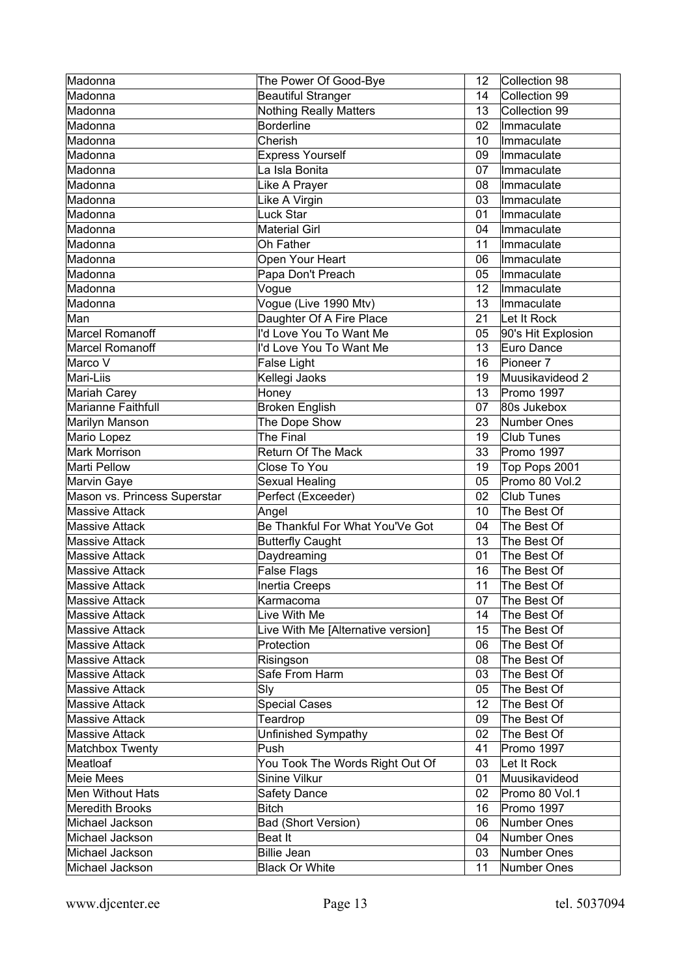| Madonna                      | The Power Of Good-Bye              | 12       | Collection 98      |
|------------------------------|------------------------------------|----------|--------------------|
| Madonna                      | <b>Beautiful Stranger</b>          | 14       | Collection 99      |
| Madonna                      | <b>Nothing Really Matters</b>      | 13       | Collection 99      |
| Madonna                      | <b>Borderline</b>                  | 02       | Immaculate         |
| Madonna                      | Cherish                            | 10       | Immaculate         |
| Madonna                      | <b>Express Yourself</b>            | 09       | Immaculate         |
| Madonna                      | La Isla Bonita                     | 07       | Immaculate         |
| Madonna                      | Like A Prayer                      | 08       | Immaculate         |
| Madonna                      | Like A Virgin                      | 03       | Immaculate         |
| Madonna                      | <b>Luck Star</b>                   | 01       | Immaculate         |
| Madonna                      | <b>Material Girl</b>               | 04       | Immaculate         |
| Madonna                      | Oh Father                          | 11       | Immaculate         |
| Madonna                      | Open Your Heart                    | 06       | Immaculate         |
| Madonna                      | Papa Don't Preach                  | 05       | Immaculate         |
| Madonna                      | Vogue                              | 12       | Immaculate         |
| Madonna                      | Vogue (Live 1990 Mtv)              | 13       | Immaculate         |
| Man                          | Daughter Of A Fire Place           | 21       | Let It Rock        |
| <b>Marcel Romanoff</b>       | I'd Love You To Want Me            | 05       | 90's Hit Explosion |
| <b>Marcel Romanoff</b>       | I'd Love You To Want Me            | 13       | Euro Dance         |
| Marco V                      | <b>False Light</b>                 | 16       | Pioneer 7          |
| Mari-Liis                    | Kellegi Jaoks                      | 19       | Muusikavideod 2    |
| Mariah Carey                 | Honey                              | 13       | Promo 1997         |
| <b>Marianne Faithfull</b>    | <b>Broken English</b>              | 07       | 80s Jukebox        |
| Marilyn Manson               | The Dope Show                      | 23       | Number Ones        |
| Mario Lopez                  | The Final                          | 19       | <b>Club Tunes</b>  |
| <b>Mark Morrison</b>         | <b>Return Of The Mack</b>          | 33       | Promo 1997         |
| Marti Pellow                 | Close To You                       | 19       | Top Pops 2001      |
| Marvin Gaye                  | Sexual Healing                     | 05       | Promo 80 Vol.2     |
| Mason vs. Princess Superstar | Perfect (Exceeder)                 | 02       | <b>Club Tunes</b>  |
| <b>Massive Attack</b>        | Angel                              | 10       | The Best Of        |
| <b>Massive Attack</b>        | Be Thankful For What You'Ve Got    | 04       | The Best Of        |
| <b>Massive Attack</b>        |                                    | 13       | The Best Of        |
| <b>Massive Attack</b>        | <b>Butterfly Caught</b>            | 01       | The Best Of        |
|                              | Daydreaming                        |          |                    |
| <b>Massive Attack</b>        | False Flags                        | 16<br>11 | The Best Of        |
| <b>Massive Attack</b>        | <b>Inertia Creeps</b>              |          | The Best Of        |
| <b>Massive Attack</b>        | Karmacoma                          | 07       | The Best Of        |
| Massive Attack               | Live With Me                       | 14       | The Best Of        |
| <b>Massive Attack</b>        | Live With Me [Alternative version] | 15       | The Best Of        |
| Massive Attack               | Protection                         | 06       | The Best Of        |
| Massive Attack               | Risingson                          | 08       | The Best Of        |
| <b>Massive Attack</b>        | Safe From Harm                     | 03       | The Best Of        |
| Massive Attack               | Sly                                | 05       | The Best Of        |
| <b>Massive Attack</b>        | <b>Special Cases</b>               | 12       | The Best Of        |
| Massive Attack               | Teardrop                           | 09       | The Best Of        |
| <b>Massive Attack</b>        | Unfinished Sympathy                | 02       | The Best Of        |
| Matchbox Twenty              | Push                               | 41       | Promo 1997         |
| Meatloaf                     | You Took The Words Right Out Of    | 03       | Let It Rock        |
| Meie Mees                    | Sinine Vilkur                      | 01       | Muusikavideod      |
| Men Without Hats             | <b>Safety Dance</b>                | 02       | Promo 80 Vol.1     |
| <b>Meredith Brooks</b>       | <b>Bitch</b>                       | 16       | Promo 1997         |
| Michael Jackson              | Bad (Short Version)                | 06       | Number Ones        |
| Michael Jackson              | Beat It                            | 04       | Number Ones        |
| Michael Jackson              | <b>Billie Jean</b>                 | 03       | Number Ones        |
| Michael Jackson              | <b>Black Or White</b>              | 11       | Number Ones        |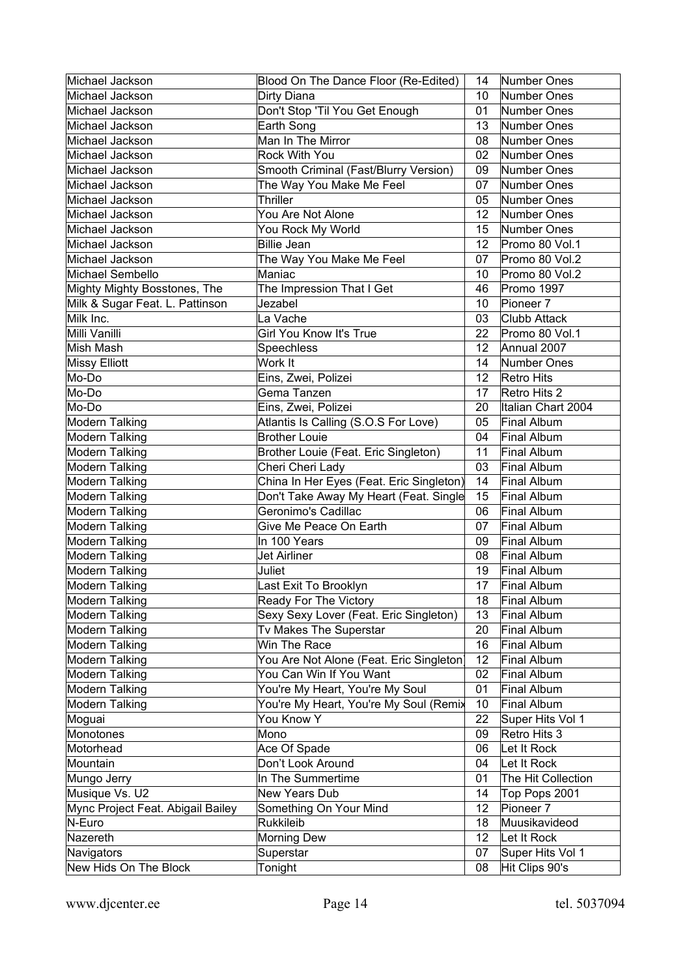| Michael Jackson<br>Dirty Diana<br>10<br>Number Ones<br>Don't Stop 'Til You Get Enough<br>Michael Jackson<br>01<br>Number Ones<br>Earth Song<br>13 <sup>7</sup><br>Number Ones<br>Michael Jackson<br>Man In The Mirror<br>Michael Jackson<br>08<br>Number Ones<br>Rock With You<br>02<br>Michael Jackson<br>Number Ones<br>Smooth Criminal (Fast/Blurry Version)<br>Michael Jackson<br>09<br>Number Ones<br>The Way You Make Me Feel<br>Michael Jackson<br>07<br>Number Ones<br>Thriller<br>Michael Jackson<br>05<br>Number Ones<br>You Are Not Alone<br>12<br>Michael Jackson<br>Number Ones<br>15<br>Michael Jackson<br>You Rock My World<br>Number Ones<br>Michael Jackson<br><b>Billie Jean</b><br>12 <sub>2</sub><br>Promo 80 Vol.1<br>The Way You Make Me Feel<br>Michael Jackson<br>07<br>Promo 80 Vol.2<br>Michael Sembello<br>Maniac<br>10<br>Promo 80 Vol.2<br>Mighty Mighty Bosstones, The<br>The Impression That I Get<br>Promo 1997<br>46<br>Milk & Sugar Feat. L. Pattinson<br>Jezabel<br>10 <sup>°</sup><br>Pioneer <sub>7</sub><br>Milk Inc.<br>La Vache<br>03<br><b>Clubb Attack</b><br>Girl You Know It's True<br>Milli Vanilli<br>22<br>Promo 80 Vol.1<br>Speechless<br>12 <sub>2</sub><br>Annual 2007<br>Mish Mash<br><b>Missy Elliott</b><br>Work It<br>14<br>Number Ones<br>Mo-Do<br>Eins, Zwei, Polizei<br>12<br>Retro Hits<br>Mo-Do<br>17<br>Retro Hits 2<br>Gema Tanzen<br>Mo-Do<br>Eins, Zwei, Polizei<br>20<br>Italian Chart 2004<br>Atlantis Is Calling (S.O.S For Love)<br>Final Album<br><b>Modern Talking</b><br>05<br><b>Brother Louie</b><br><b>Modern Talking</b><br><b>Final Album</b><br>04<br>Modern Talking<br>Brother Louie (Feat. Eric Singleton)<br>11<br>Final Album<br>Modern Talking<br>Cheri Cheri Lady<br>03<br>Final Album<br>Modern Talking<br>China In Her Eyes (Feat. Eric Singleton)<br>14<br>Final Album<br>Don't Take Away My Heart (Feat. Single<br>15<br><b>Modern Talking</b><br>Final Album<br>Geronimo's Cadillac<br><b>Modern Talking</b><br>Final Album<br>06<br><b>Modern Talking</b><br>Give Me Peace On Earth<br>Final Album<br>07<br><b>Modern Talking</b><br>In 100 Years<br>Final Album<br>09<br><b>Modern Talking</b><br>Final Album<br>Jet Airliner<br>08<br><b>Modern Talking</b><br>Final Album<br>Juliet<br>19<br>Modern Talking<br>17<br>Last Exit To Brooklyn<br>Final Album<br><b>Ready For The Victory</b><br>Modern Talking<br>18<br>Final Album<br>Sexy Sexy Lover (Feat. Eric Singleton)<br>13<br><b>Modern Talking</b><br><b>Final Album</b><br><b>Modern Talking</b><br>Tv Makes The Superstar<br>20<br>Final Album<br>Win The Race<br><b>Modern Talking</b><br>16<br>Final Album<br><b>Modern Talking</b><br>You Are Not Alone (Feat. Eric Singleton<br>12<br><b>Final Album</b><br>Modern Talking<br>You Can Win If You Want<br>02<br><b>Final Album</b><br><b>Modern Talking</b><br>You're My Heart, You're My Soul<br>01<br>Final Album<br><b>Modern Talking</b><br>You're My Heart, You're My Soul (Remix<br>Final Album<br>10<br>You Know Y<br>22<br>Super Hits Vol 1<br>Moguai<br>Mono<br>Monotones<br>Retro Hits 3<br>09<br>Let It Rock<br>Motorhead<br>Ace Of Spade<br>06<br>Mountain<br>Don't Look Around<br>04<br>Let It Rock<br>Mungo Jerry<br>In The Summertime<br>The Hit Collection<br>01<br>Musique Vs. U2<br>New Years Dub<br>Top Pops 2001<br>14<br>Mync Project Feat. Abigail Bailey<br>Something On Your Mind<br>12<br>Pioneer <sub>7</sub><br>N-Euro<br>Rukkileib<br>18<br>Muusikavideod<br>12<br>Let It Rock<br>Nazereth<br><b>Morning Dew</b><br>Superstar<br>Super Hits Vol 1<br>Navigators<br>07<br>New Hids On The Block<br>Hit Clips 90's<br>Tonight<br>08 | Michael Jackson | Blood On The Dance Floor (Re-Edited) | 14 | Number Ones |
|----------------------------------------------------------------------------------------------------------------------------------------------------------------------------------------------------------------------------------------------------------------------------------------------------------------------------------------------------------------------------------------------------------------------------------------------------------------------------------------------------------------------------------------------------------------------------------------------------------------------------------------------------------------------------------------------------------------------------------------------------------------------------------------------------------------------------------------------------------------------------------------------------------------------------------------------------------------------------------------------------------------------------------------------------------------------------------------------------------------------------------------------------------------------------------------------------------------------------------------------------------------------------------------------------------------------------------------------------------------------------------------------------------------------------------------------------------------------------------------------------------------------------------------------------------------------------------------------------------------------------------------------------------------------------------------------------------------------------------------------------------------------------------------------------------------------------------------------------------------------------------------------------------------------------------------------------------------------------------------------------------------------------------------------------------------------------------------------------------------------------------------------------------------------------------------------------------------------------------------------------------------------------------------------------------------------------------------------------------------------------------------------------------------------------------------------------------------------------------------------------------------------------------------------------------------------------------------------------------------------------------------------------------------------------------------------------------------------------------------------------------------------------------------------------------------------------------------------------------------------------------------------------------------------------------------------------------------------------------------------------------------------------------------------------------------------------------------------------------------------------------------------------------------------------------------------------------------------------------------------------------------------------------------------------------------------------------------------------------------------------------------------------------------------------------------------------------------------------------------------------------------------------------------------------------------------------------------------------------------------------------------------------------------------|-----------------|--------------------------------------|----|-------------|
|                                                                                                                                                                                                                                                                                                                                                                                                                                                                                                                                                                                                                                                                                                                                                                                                                                                                                                                                                                                                                                                                                                                                                                                                                                                                                                                                                                                                                                                                                                                                                                                                                                                                                                                                                                                                                                                                                                                                                                                                                                                                                                                                                                                                                                                                                                                                                                                                                                                                                                                                                                                                                                                                                                                                                                                                                                                                                                                                                                                                                                                                                                                                                                                                                                                                                                                                                                                                                                                                                                                                                                                                                                                                      |                 |                                      |    |             |
|                                                                                                                                                                                                                                                                                                                                                                                                                                                                                                                                                                                                                                                                                                                                                                                                                                                                                                                                                                                                                                                                                                                                                                                                                                                                                                                                                                                                                                                                                                                                                                                                                                                                                                                                                                                                                                                                                                                                                                                                                                                                                                                                                                                                                                                                                                                                                                                                                                                                                                                                                                                                                                                                                                                                                                                                                                                                                                                                                                                                                                                                                                                                                                                                                                                                                                                                                                                                                                                                                                                                                                                                                                                                      |                 |                                      |    |             |
|                                                                                                                                                                                                                                                                                                                                                                                                                                                                                                                                                                                                                                                                                                                                                                                                                                                                                                                                                                                                                                                                                                                                                                                                                                                                                                                                                                                                                                                                                                                                                                                                                                                                                                                                                                                                                                                                                                                                                                                                                                                                                                                                                                                                                                                                                                                                                                                                                                                                                                                                                                                                                                                                                                                                                                                                                                                                                                                                                                                                                                                                                                                                                                                                                                                                                                                                                                                                                                                                                                                                                                                                                                                                      |                 |                                      |    |             |
|                                                                                                                                                                                                                                                                                                                                                                                                                                                                                                                                                                                                                                                                                                                                                                                                                                                                                                                                                                                                                                                                                                                                                                                                                                                                                                                                                                                                                                                                                                                                                                                                                                                                                                                                                                                                                                                                                                                                                                                                                                                                                                                                                                                                                                                                                                                                                                                                                                                                                                                                                                                                                                                                                                                                                                                                                                                                                                                                                                                                                                                                                                                                                                                                                                                                                                                                                                                                                                                                                                                                                                                                                                                                      |                 |                                      |    |             |
|                                                                                                                                                                                                                                                                                                                                                                                                                                                                                                                                                                                                                                                                                                                                                                                                                                                                                                                                                                                                                                                                                                                                                                                                                                                                                                                                                                                                                                                                                                                                                                                                                                                                                                                                                                                                                                                                                                                                                                                                                                                                                                                                                                                                                                                                                                                                                                                                                                                                                                                                                                                                                                                                                                                                                                                                                                                                                                                                                                                                                                                                                                                                                                                                                                                                                                                                                                                                                                                                                                                                                                                                                                                                      |                 |                                      |    |             |
|                                                                                                                                                                                                                                                                                                                                                                                                                                                                                                                                                                                                                                                                                                                                                                                                                                                                                                                                                                                                                                                                                                                                                                                                                                                                                                                                                                                                                                                                                                                                                                                                                                                                                                                                                                                                                                                                                                                                                                                                                                                                                                                                                                                                                                                                                                                                                                                                                                                                                                                                                                                                                                                                                                                                                                                                                                                                                                                                                                                                                                                                                                                                                                                                                                                                                                                                                                                                                                                                                                                                                                                                                                                                      |                 |                                      |    |             |
|                                                                                                                                                                                                                                                                                                                                                                                                                                                                                                                                                                                                                                                                                                                                                                                                                                                                                                                                                                                                                                                                                                                                                                                                                                                                                                                                                                                                                                                                                                                                                                                                                                                                                                                                                                                                                                                                                                                                                                                                                                                                                                                                                                                                                                                                                                                                                                                                                                                                                                                                                                                                                                                                                                                                                                                                                                                                                                                                                                                                                                                                                                                                                                                                                                                                                                                                                                                                                                                                                                                                                                                                                                                                      |                 |                                      |    |             |
|                                                                                                                                                                                                                                                                                                                                                                                                                                                                                                                                                                                                                                                                                                                                                                                                                                                                                                                                                                                                                                                                                                                                                                                                                                                                                                                                                                                                                                                                                                                                                                                                                                                                                                                                                                                                                                                                                                                                                                                                                                                                                                                                                                                                                                                                                                                                                                                                                                                                                                                                                                                                                                                                                                                                                                                                                                                                                                                                                                                                                                                                                                                                                                                                                                                                                                                                                                                                                                                                                                                                                                                                                                                                      |                 |                                      |    |             |
|                                                                                                                                                                                                                                                                                                                                                                                                                                                                                                                                                                                                                                                                                                                                                                                                                                                                                                                                                                                                                                                                                                                                                                                                                                                                                                                                                                                                                                                                                                                                                                                                                                                                                                                                                                                                                                                                                                                                                                                                                                                                                                                                                                                                                                                                                                                                                                                                                                                                                                                                                                                                                                                                                                                                                                                                                                                                                                                                                                                                                                                                                                                                                                                                                                                                                                                                                                                                                                                                                                                                                                                                                                                                      |                 |                                      |    |             |
|                                                                                                                                                                                                                                                                                                                                                                                                                                                                                                                                                                                                                                                                                                                                                                                                                                                                                                                                                                                                                                                                                                                                                                                                                                                                                                                                                                                                                                                                                                                                                                                                                                                                                                                                                                                                                                                                                                                                                                                                                                                                                                                                                                                                                                                                                                                                                                                                                                                                                                                                                                                                                                                                                                                                                                                                                                                                                                                                                                                                                                                                                                                                                                                                                                                                                                                                                                                                                                                                                                                                                                                                                                                                      |                 |                                      |    |             |
|                                                                                                                                                                                                                                                                                                                                                                                                                                                                                                                                                                                                                                                                                                                                                                                                                                                                                                                                                                                                                                                                                                                                                                                                                                                                                                                                                                                                                                                                                                                                                                                                                                                                                                                                                                                                                                                                                                                                                                                                                                                                                                                                                                                                                                                                                                                                                                                                                                                                                                                                                                                                                                                                                                                                                                                                                                                                                                                                                                                                                                                                                                                                                                                                                                                                                                                                                                                                                                                                                                                                                                                                                                                                      |                 |                                      |    |             |
|                                                                                                                                                                                                                                                                                                                                                                                                                                                                                                                                                                                                                                                                                                                                                                                                                                                                                                                                                                                                                                                                                                                                                                                                                                                                                                                                                                                                                                                                                                                                                                                                                                                                                                                                                                                                                                                                                                                                                                                                                                                                                                                                                                                                                                                                                                                                                                                                                                                                                                                                                                                                                                                                                                                                                                                                                                                                                                                                                                                                                                                                                                                                                                                                                                                                                                                                                                                                                                                                                                                                                                                                                                                                      |                 |                                      |    |             |
|                                                                                                                                                                                                                                                                                                                                                                                                                                                                                                                                                                                                                                                                                                                                                                                                                                                                                                                                                                                                                                                                                                                                                                                                                                                                                                                                                                                                                                                                                                                                                                                                                                                                                                                                                                                                                                                                                                                                                                                                                                                                                                                                                                                                                                                                                                                                                                                                                                                                                                                                                                                                                                                                                                                                                                                                                                                                                                                                                                                                                                                                                                                                                                                                                                                                                                                                                                                                                                                                                                                                                                                                                                                                      |                 |                                      |    |             |
|                                                                                                                                                                                                                                                                                                                                                                                                                                                                                                                                                                                                                                                                                                                                                                                                                                                                                                                                                                                                                                                                                                                                                                                                                                                                                                                                                                                                                                                                                                                                                                                                                                                                                                                                                                                                                                                                                                                                                                                                                                                                                                                                                                                                                                                                                                                                                                                                                                                                                                                                                                                                                                                                                                                                                                                                                                                                                                                                                                                                                                                                                                                                                                                                                                                                                                                                                                                                                                                                                                                                                                                                                                                                      |                 |                                      |    |             |
|                                                                                                                                                                                                                                                                                                                                                                                                                                                                                                                                                                                                                                                                                                                                                                                                                                                                                                                                                                                                                                                                                                                                                                                                                                                                                                                                                                                                                                                                                                                                                                                                                                                                                                                                                                                                                                                                                                                                                                                                                                                                                                                                                                                                                                                                                                                                                                                                                                                                                                                                                                                                                                                                                                                                                                                                                                                                                                                                                                                                                                                                                                                                                                                                                                                                                                                                                                                                                                                                                                                                                                                                                                                                      |                 |                                      |    |             |
|                                                                                                                                                                                                                                                                                                                                                                                                                                                                                                                                                                                                                                                                                                                                                                                                                                                                                                                                                                                                                                                                                                                                                                                                                                                                                                                                                                                                                                                                                                                                                                                                                                                                                                                                                                                                                                                                                                                                                                                                                                                                                                                                                                                                                                                                                                                                                                                                                                                                                                                                                                                                                                                                                                                                                                                                                                                                                                                                                                                                                                                                                                                                                                                                                                                                                                                                                                                                                                                                                                                                                                                                                                                                      |                 |                                      |    |             |
|                                                                                                                                                                                                                                                                                                                                                                                                                                                                                                                                                                                                                                                                                                                                                                                                                                                                                                                                                                                                                                                                                                                                                                                                                                                                                                                                                                                                                                                                                                                                                                                                                                                                                                                                                                                                                                                                                                                                                                                                                                                                                                                                                                                                                                                                                                                                                                                                                                                                                                                                                                                                                                                                                                                                                                                                                                                                                                                                                                                                                                                                                                                                                                                                                                                                                                                                                                                                                                                                                                                                                                                                                                                                      |                 |                                      |    |             |
|                                                                                                                                                                                                                                                                                                                                                                                                                                                                                                                                                                                                                                                                                                                                                                                                                                                                                                                                                                                                                                                                                                                                                                                                                                                                                                                                                                                                                                                                                                                                                                                                                                                                                                                                                                                                                                                                                                                                                                                                                                                                                                                                                                                                                                                                                                                                                                                                                                                                                                                                                                                                                                                                                                                                                                                                                                                                                                                                                                                                                                                                                                                                                                                                                                                                                                                                                                                                                                                                                                                                                                                                                                                                      |                 |                                      |    |             |
|                                                                                                                                                                                                                                                                                                                                                                                                                                                                                                                                                                                                                                                                                                                                                                                                                                                                                                                                                                                                                                                                                                                                                                                                                                                                                                                                                                                                                                                                                                                                                                                                                                                                                                                                                                                                                                                                                                                                                                                                                                                                                                                                                                                                                                                                                                                                                                                                                                                                                                                                                                                                                                                                                                                                                                                                                                                                                                                                                                                                                                                                                                                                                                                                                                                                                                                                                                                                                                                                                                                                                                                                                                                                      |                 |                                      |    |             |
|                                                                                                                                                                                                                                                                                                                                                                                                                                                                                                                                                                                                                                                                                                                                                                                                                                                                                                                                                                                                                                                                                                                                                                                                                                                                                                                                                                                                                                                                                                                                                                                                                                                                                                                                                                                                                                                                                                                                                                                                                                                                                                                                                                                                                                                                                                                                                                                                                                                                                                                                                                                                                                                                                                                                                                                                                                                                                                                                                                                                                                                                                                                                                                                                                                                                                                                                                                                                                                                                                                                                                                                                                                                                      |                 |                                      |    |             |
|                                                                                                                                                                                                                                                                                                                                                                                                                                                                                                                                                                                                                                                                                                                                                                                                                                                                                                                                                                                                                                                                                                                                                                                                                                                                                                                                                                                                                                                                                                                                                                                                                                                                                                                                                                                                                                                                                                                                                                                                                                                                                                                                                                                                                                                                                                                                                                                                                                                                                                                                                                                                                                                                                                                                                                                                                                                                                                                                                                                                                                                                                                                                                                                                                                                                                                                                                                                                                                                                                                                                                                                                                                                                      |                 |                                      |    |             |
|                                                                                                                                                                                                                                                                                                                                                                                                                                                                                                                                                                                                                                                                                                                                                                                                                                                                                                                                                                                                                                                                                                                                                                                                                                                                                                                                                                                                                                                                                                                                                                                                                                                                                                                                                                                                                                                                                                                                                                                                                                                                                                                                                                                                                                                                                                                                                                                                                                                                                                                                                                                                                                                                                                                                                                                                                                                                                                                                                                                                                                                                                                                                                                                                                                                                                                                                                                                                                                                                                                                                                                                                                                                                      |                 |                                      |    |             |
|                                                                                                                                                                                                                                                                                                                                                                                                                                                                                                                                                                                                                                                                                                                                                                                                                                                                                                                                                                                                                                                                                                                                                                                                                                                                                                                                                                                                                                                                                                                                                                                                                                                                                                                                                                                                                                                                                                                                                                                                                                                                                                                                                                                                                                                                                                                                                                                                                                                                                                                                                                                                                                                                                                                                                                                                                                                                                                                                                                                                                                                                                                                                                                                                                                                                                                                                                                                                                                                                                                                                                                                                                                                                      |                 |                                      |    |             |
|                                                                                                                                                                                                                                                                                                                                                                                                                                                                                                                                                                                                                                                                                                                                                                                                                                                                                                                                                                                                                                                                                                                                                                                                                                                                                                                                                                                                                                                                                                                                                                                                                                                                                                                                                                                                                                                                                                                                                                                                                                                                                                                                                                                                                                                                                                                                                                                                                                                                                                                                                                                                                                                                                                                                                                                                                                                                                                                                                                                                                                                                                                                                                                                                                                                                                                                                                                                                                                                                                                                                                                                                                                                                      |                 |                                      |    |             |
|                                                                                                                                                                                                                                                                                                                                                                                                                                                                                                                                                                                                                                                                                                                                                                                                                                                                                                                                                                                                                                                                                                                                                                                                                                                                                                                                                                                                                                                                                                                                                                                                                                                                                                                                                                                                                                                                                                                                                                                                                                                                                                                                                                                                                                                                                                                                                                                                                                                                                                                                                                                                                                                                                                                                                                                                                                                                                                                                                                                                                                                                                                                                                                                                                                                                                                                                                                                                                                                                                                                                                                                                                                                                      |                 |                                      |    |             |
|                                                                                                                                                                                                                                                                                                                                                                                                                                                                                                                                                                                                                                                                                                                                                                                                                                                                                                                                                                                                                                                                                                                                                                                                                                                                                                                                                                                                                                                                                                                                                                                                                                                                                                                                                                                                                                                                                                                                                                                                                                                                                                                                                                                                                                                                                                                                                                                                                                                                                                                                                                                                                                                                                                                                                                                                                                                                                                                                                                                                                                                                                                                                                                                                                                                                                                                                                                                                                                                                                                                                                                                                                                                                      |                 |                                      |    |             |
|                                                                                                                                                                                                                                                                                                                                                                                                                                                                                                                                                                                                                                                                                                                                                                                                                                                                                                                                                                                                                                                                                                                                                                                                                                                                                                                                                                                                                                                                                                                                                                                                                                                                                                                                                                                                                                                                                                                                                                                                                                                                                                                                                                                                                                                                                                                                                                                                                                                                                                                                                                                                                                                                                                                                                                                                                                                                                                                                                                                                                                                                                                                                                                                                                                                                                                                                                                                                                                                                                                                                                                                                                                                                      |                 |                                      |    |             |
|                                                                                                                                                                                                                                                                                                                                                                                                                                                                                                                                                                                                                                                                                                                                                                                                                                                                                                                                                                                                                                                                                                                                                                                                                                                                                                                                                                                                                                                                                                                                                                                                                                                                                                                                                                                                                                                                                                                                                                                                                                                                                                                                                                                                                                                                                                                                                                                                                                                                                                                                                                                                                                                                                                                                                                                                                                                                                                                                                                                                                                                                                                                                                                                                                                                                                                                                                                                                                                                                                                                                                                                                                                                                      |                 |                                      |    |             |
|                                                                                                                                                                                                                                                                                                                                                                                                                                                                                                                                                                                                                                                                                                                                                                                                                                                                                                                                                                                                                                                                                                                                                                                                                                                                                                                                                                                                                                                                                                                                                                                                                                                                                                                                                                                                                                                                                                                                                                                                                                                                                                                                                                                                                                                                                                                                                                                                                                                                                                                                                                                                                                                                                                                                                                                                                                                                                                                                                                                                                                                                                                                                                                                                                                                                                                                                                                                                                                                                                                                                                                                                                                                                      |                 |                                      |    |             |
|                                                                                                                                                                                                                                                                                                                                                                                                                                                                                                                                                                                                                                                                                                                                                                                                                                                                                                                                                                                                                                                                                                                                                                                                                                                                                                                                                                                                                                                                                                                                                                                                                                                                                                                                                                                                                                                                                                                                                                                                                                                                                                                                                                                                                                                                                                                                                                                                                                                                                                                                                                                                                                                                                                                                                                                                                                                                                                                                                                                                                                                                                                                                                                                                                                                                                                                                                                                                                                                                                                                                                                                                                                                                      |                 |                                      |    |             |
|                                                                                                                                                                                                                                                                                                                                                                                                                                                                                                                                                                                                                                                                                                                                                                                                                                                                                                                                                                                                                                                                                                                                                                                                                                                                                                                                                                                                                                                                                                                                                                                                                                                                                                                                                                                                                                                                                                                                                                                                                                                                                                                                                                                                                                                                                                                                                                                                                                                                                                                                                                                                                                                                                                                                                                                                                                                                                                                                                                                                                                                                                                                                                                                                                                                                                                                                                                                                                                                                                                                                                                                                                                                                      |                 |                                      |    |             |
|                                                                                                                                                                                                                                                                                                                                                                                                                                                                                                                                                                                                                                                                                                                                                                                                                                                                                                                                                                                                                                                                                                                                                                                                                                                                                                                                                                                                                                                                                                                                                                                                                                                                                                                                                                                                                                                                                                                                                                                                                                                                                                                                                                                                                                                                                                                                                                                                                                                                                                                                                                                                                                                                                                                                                                                                                                                                                                                                                                                                                                                                                                                                                                                                                                                                                                                                                                                                                                                                                                                                                                                                                                                                      |                 |                                      |    |             |
|                                                                                                                                                                                                                                                                                                                                                                                                                                                                                                                                                                                                                                                                                                                                                                                                                                                                                                                                                                                                                                                                                                                                                                                                                                                                                                                                                                                                                                                                                                                                                                                                                                                                                                                                                                                                                                                                                                                                                                                                                                                                                                                                                                                                                                                                                                                                                                                                                                                                                                                                                                                                                                                                                                                                                                                                                                                                                                                                                                                                                                                                                                                                                                                                                                                                                                                                                                                                                                                                                                                                                                                                                                                                      |                 |                                      |    |             |
|                                                                                                                                                                                                                                                                                                                                                                                                                                                                                                                                                                                                                                                                                                                                                                                                                                                                                                                                                                                                                                                                                                                                                                                                                                                                                                                                                                                                                                                                                                                                                                                                                                                                                                                                                                                                                                                                                                                                                                                                                                                                                                                                                                                                                                                                                                                                                                                                                                                                                                                                                                                                                                                                                                                                                                                                                                                                                                                                                                                                                                                                                                                                                                                                                                                                                                                                                                                                                                                                                                                                                                                                                                                                      |                 |                                      |    |             |
|                                                                                                                                                                                                                                                                                                                                                                                                                                                                                                                                                                                                                                                                                                                                                                                                                                                                                                                                                                                                                                                                                                                                                                                                                                                                                                                                                                                                                                                                                                                                                                                                                                                                                                                                                                                                                                                                                                                                                                                                                                                                                                                                                                                                                                                                                                                                                                                                                                                                                                                                                                                                                                                                                                                                                                                                                                                                                                                                                                                                                                                                                                                                                                                                                                                                                                                                                                                                                                                                                                                                                                                                                                                                      |                 |                                      |    |             |
|                                                                                                                                                                                                                                                                                                                                                                                                                                                                                                                                                                                                                                                                                                                                                                                                                                                                                                                                                                                                                                                                                                                                                                                                                                                                                                                                                                                                                                                                                                                                                                                                                                                                                                                                                                                                                                                                                                                                                                                                                                                                                                                                                                                                                                                                                                                                                                                                                                                                                                                                                                                                                                                                                                                                                                                                                                                                                                                                                                                                                                                                                                                                                                                                                                                                                                                                                                                                                                                                                                                                                                                                                                                                      |                 |                                      |    |             |
|                                                                                                                                                                                                                                                                                                                                                                                                                                                                                                                                                                                                                                                                                                                                                                                                                                                                                                                                                                                                                                                                                                                                                                                                                                                                                                                                                                                                                                                                                                                                                                                                                                                                                                                                                                                                                                                                                                                                                                                                                                                                                                                                                                                                                                                                                                                                                                                                                                                                                                                                                                                                                                                                                                                                                                                                                                                                                                                                                                                                                                                                                                                                                                                                                                                                                                                                                                                                                                                                                                                                                                                                                                                                      |                 |                                      |    |             |
|                                                                                                                                                                                                                                                                                                                                                                                                                                                                                                                                                                                                                                                                                                                                                                                                                                                                                                                                                                                                                                                                                                                                                                                                                                                                                                                                                                                                                                                                                                                                                                                                                                                                                                                                                                                                                                                                                                                                                                                                                                                                                                                                                                                                                                                                                                                                                                                                                                                                                                                                                                                                                                                                                                                                                                                                                                                                                                                                                                                                                                                                                                                                                                                                                                                                                                                                                                                                                                                                                                                                                                                                                                                                      |                 |                                      |    |             |
|                                                                                                                                                                                                                                                                                                                                                                                                                                                                                                                                                                                                                                                                                                                                                                                                                                                                                                                                                                                                                                                                                                                                                                                                                                                                                                                                                                                                                                                                                                                                                                                                                                                                                                                                                                                                                                                                                                                                                                                                                                                                                                                                                                                                                                                                                                                                                                                                                                                                                                                                                                                                                                                                                                                                                                                                                                                                                                                                                                                                                                                                                                                                                                                                                                                                                                                                                                                                                                                                                                                                                                                                                                                                      |                 |                                      |    |             |
|                                                                                                                                                                                                                                                                                                                                                                                                                                                                                                                                                                                                                                                                                                                                                                                                                                                                                                                                                                                                                                                                                                                                                                                                                                                                                                                                                                                                                                                                                                                                                                                                                                                                                                                                                                                                                                                                                                                                                                                                                                                                                                                                                                                                                                                                                                                                                                                                                                                                                                                                                                                                                                                                                                                                                                                                                                                                                                                                                                                                                                                                                                                                                                                                                                                                                                                                                                                                                                                                                                                                                                                                                                                                      |                 |                                      |    |             |
|                                                                                                                                                                                                                                                                                                                                                                                                                                                                                                                                                                                                                                                                                                                                                                                                                                                                                                                                                                                                                                                                                                                                                                                                                                                                                                                                                                                                                                                                                                                                                                                                                                                                                                                                                                                                                                                                                                                                                                                                                                                                                                                                                                                                                                                                                                                                                                                                                                                                                                                                                                                                                                                                                                                                                                                                                                                                                                                                                                                                                                                                                                                                                                                                                                                                                                                                                                                                                                                                                                                                                                                                                                                                      |                 |                                      |    |             |
|                                                                                                                                                                                                                                                                                                                                                                                                                                                                                                                                                                                                                                                                                                                                                                                                                                                                                                                                                                                                                                                                                                                                                                                                                                                                                                                                                                                                                                                                                                                                                                                                                                                                                                                                                                                                                                                                                                                                                                                                                                                                                                                                                                                                                                                                                                                                                                                                                                                                                                                                                                                                                                                                                                                                                                                                                                                                                                                                                                                                                                                                                                                                                                                                                                                                                                                                                                                                                                                                                                                                                                                                                                                                      |                 |                                      |    |             |
|                                                                                                                                                                                                                                                                                                                                                                                                                                                                                                                                                                                                                                                                                                                                                                                                                                                                                                                                                                                                                                                                                                                                                                                                                                                                                                                                                                                                                                                                                                                                                                                                                                                                                                                                                                                                                                                                                                                                                                                                                                                                                                                                                                                                                                                                                                                                                                                                                                                                                                                                                                                                                                                                                                                                                                                                                                                                                                                                                                                                                                                                                                                                                                                                                                                                                                                                                                                                                                                                                                                                                                                                                                                                      |                 |                                      |    |             |
|                                                                                                                                                                                                                                                                                                                                                                                                                                                                                                                                                                                                                                                                                                                                                                                                                                                                                                                                                                                                                                                                                                                                                                                                                                                                                                                                                                                                                                                                                                                                                                                                                                                                                                                                                                                                                                                                                                                                                                                                                                                                                                                                                                                                                                                                                                                                                                                                                                                                                                                                                                                                                                                                                                                                                                                                                                                                                                                                                                                                                                                                                                                                                                                                                                                                                                                                                                                                                                                                                                                                                                                                                                                                      |                 |                                      |    |             |
|                                                                                                                                                                                                                                                                                                                                                                                                                                                                                                                                                                                                                                                                                                                                                                                                                                                                                                                                                                                                                                                                                                                                                                                                                                                                                                                                                                                                                                                                                                                                                                                                                                                                                                                                                                                                                                                                                                                                                                                                                                                                                                                                                                                                                                                                                                                                                                                                                                                                                                                                                                                                                                                                                                                                                                                                                                                                                                                                                                                                                                                                                                                                                                                                                                                                                                                                                                                                                                                                                                                                                                                                                                                                      |                 |                                      |    |             |
|                                                                                                                                                                                                                                                                                                                                                                                                                                                                                                                                                                                                                                                                                                                                                                                                                                                                                                                                                                                                                                                                                                                                                                                                                                                                                                                                                                                                                                                                                                                                                                                                                                                                                                                                                                                                                                                                                                                                                                                                                                                                                                                                                                                                                                                                                                                                                                                                                                                                                                                                                                                                                                                                                                                                                                                                                                                                                                                                                                                                                                                                                                                                                                                                                                                                                                                                                                                                                                                                                                                                                                                                                                                                      |                 |                                      |    |             |
|                                                                                                                                                                                                                                                                                                                                                                                                                                                                                                                                                                                                                                                                                                                                                                                                                                                                                                                                                                                                                                                                                                                                                                                                                                                                                                                                                                                                                                                                                                                                                                                                                                                                                                                                                                                                                                                                                                                                                                                                                                                                                                                                                                                                                                                                                                                                                                                                                                                                                                                                                                                                                                                                                                                                                                                                                                                                                                                                                                                                                                                                                                                                                                                                                                                                                                                                                                                                                                                                                                                                                                                                                                                                      |                 |                                      |    |             |
|                                                                                                                                                                                                                                                                                                                                                                                                                                                                                                                                                                                                                                                                                                                                                                                                                                                                                                                                                                                                                                                                                                                                                                                                                                                                                                                                                                                                                                                                                                                                                                                                                                                                                                                                                                                                                                                                                                                                                                                                                                                                                                                                                                                                                                                                                                                                                                                                                                                                                                                                                                                                                                                                                                                                                                                                                                                                                                                                                                                                                                                                                                                                                                                                                                                                                                                                                                                                                                                                                                                                                                                                                                                                      |                 |                                      |    |             |
|                                                                                                                                                                                                                                                                                                                                                                                                                                                                                                                                                                                                                                                                                                                                                                                                                                                                                                                                                                                                                                                                                                                                                                                                                                                                                                                                                                                                                                                                                                                                                                                                                                                                                                                                                                                                                                                                                                                                                                                                                                                                                                                                                                                                                                                                                                                                                                                                                                                                                                                                                                                                                                                                                                                                                                                                                                                                                                                                                                                                                                                                                                                                                                                                                                                                                                                                                                                                                                                                                                                                                                                                                                                                      |                 |                                      |    |             |
|                                                                                                                                                                                                                                                                                                                                                                                                                                                                                                                                                                                                                                                                                                                                                                                                                                                                                                                                                                                                                                                                                                                                                                                                                                                                                                                                                                                                                                                                                                                                                                                                                                                                                                                                                                                                                                                                                                                                                                                                                                                                                                                                                                                                                                                                                                                                                                                                                                                                                                                                                                                                                                                                                                                                                                                                                                                                                                                                                                                                                                                                                                                                                                                                                                                                                                                                                                                                                                                                                                                                                                                                                                                                      |                 |                                      |    |             |
|                                                                                                                                                                                                                                                                                                                                                                                                                                                                                                                                                                                                                                                                                                                                                                                                                                                                                                                                                                                                                                                                                                                                                                                                                                                                                                                                                                                                                                                                                                                                                                                                                                                                                                                                                                                                                                                                                                                                                                                                                                                                                                                                                                                                                                                                                                                                                                                                                                                                                                                                                                                                                                                                                                                                                                                                                                                                                                                                                                                                                                                                                                                                                                                                                                                                                                                                                                                                                                                                                                                                                                                                                                                                      |                 |                                      |    |             |
|                                                                                                                                                                                                                                                                                                                                                                                                                                                                                                                                                                                                                                                                                                                                                                                                                                                                                                                                                                                                                                                                                                                                                                                                                                                                                                                                                                                                                                                                                                                                                                                                                                                                                                                                                                                                                                                                                                                                                                                                                                                                                                                                                                                                                                                                                                                                                                                                                                                                                                                                                                                                                                                                                                                                                                                                                                                                                                                                                                                                                                                                                                                                                                                                                                                                                                                                                                                                                                                                                                                                                                                                                                                                      |                 |                                      |    |             |
|                                                                                                                                                                                                                                                                                                                                                                                                                                                                                                                                                                                                                                                                                                                                                                                                                                                                                                                                                                                                                                                                                                                                                                                                                                                                                                                                                                                                                                                                                                                                                                                                                                                                                                                                                                                                                                                                                                                                                                                                                                                                                                                                                                                                                                                                                                                                                                                                                                                                                                                                                                                                                                                                                                                                                                                                                                                                                                                                                                                                                                                                                                                                                                                                                                                                                                                                                                                                                                                                                                                                                                                                                                                                      |                 |                                      |    |             |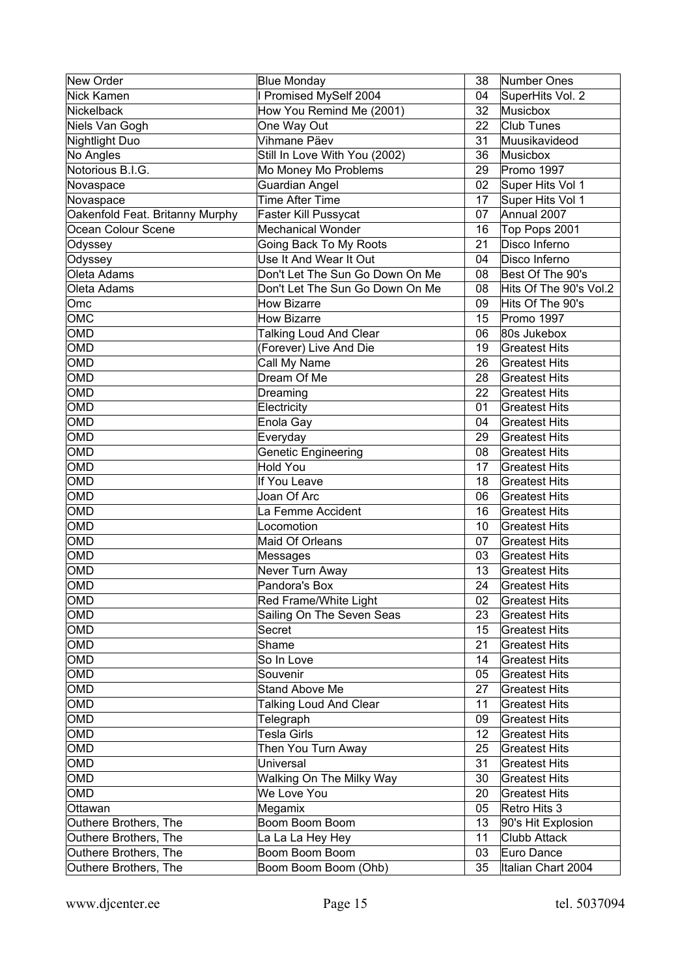| <b>New Order</b>                | <b>Blue Monday</b>              | 38 | Number Ones            |
|---------------------------------|---------------------------------|----|------------------------|
| Nick Kamen                      | I Promised MySelf 2004          | 04 | SuperHits Vol. 2       |
| Nickelback                      | How You Remind Me (2001)        | 32 | Musicbox               |
| Niels Van Gogh                  | One Way Out                     | 22 | Club Tunes             |
| Nightlight Duo                  | Vihmane Päev                    | 31 | Muusikavideod          |
| No Angles                       | Still In Love With You (2002)   | 36 | Musicbox               |
| Notorious B.I.G.                | Mo Money Mo Problems            | 29 | Promo 1997             |
| Novaspace                       | <b>Guardian Angel</b>           | 02 | Super Hits Vol 1       |
| Novaspace                       | Time After Time                 | 17 | Super Hits Vol 1       |
| Oakenfold Feat. Britanny Murphy | Faster Kill Pussycat            | 07 | Annual 2007            |
| Ocean Colour Scene              | <b>Mechanical Wonder</b>        | 16 | Top Pops 2001          |
| Odyssey                         | Going Back To My Roots          | 21 | Disco Inferno          |
| Odyssey                         | Use It And Wear It Out          | 04 | Disco Inferno          |
| Oleta Adams                     | Don't Let The Sun Go Down On Me | 08 | Best Of The 90's       |
| Oleta Adams                     | Don't Let The Sun Go Down On Me | 08 | Hits Of The 90's Vol.2 |
| Omc                             | <b>How Bizarre</b>              | 09 | Hits Of The 90's       |
| <b>OMC</b>                      | <b>How Bizarre</b>              | 15 | Promo 1997             |
| <b>OMD</b>                      | <b>Talking Loud And Clear</b>   | 06 | 80s Jukebox            |
| <b>OMD</b>                      | (Forever) Live And Die          | 19 | <b>Greatest Hits</b>   |
| <b>OMD</b>                      | Call My Name                    | 26 | <b>Greatest Hits</b>   |
| <b>OMD</b>                      | Dream Of Me                     | 28 | <b>Greatest Hits</b>   |
| OMD                             | Dreaming                        | 22 | <b>Greatest Hits</b>   |
| <b>OMD</b>                      | Electricity                     | 01 | <b>Greatest Hits</b>   |
| OMD                             | Enola Gay                       | 04 | <b>Greatest Hits</b>   |
| <b>OMD</b>                      | Everyday                        | 29 | <b>Greatest Hits</b>   |
| <b>OMD</b>                      | Genetic Engineering             | 08 | <b>Greatest Hits</b>   |
| <b>OMD</b>                      | <b>Hold You</b>                 | 17 | <b>Greatest Hits</b>   |
| OMD                             | If You Leave                    | 18 | <b>Greatest Hits</b>   |
| OMD                             | Joan Of Arc                     | 06 | <b>Greatest Hits</b>   |
| OMD                             | La Femme Accident               | 16 | <b>Greatest Hits</b>   |
| OMD                             | Locomotion                      | 10 | <b>Greatest Hits</b>   |
| OMD                             | Maid Of Orleans                 | 07 | <b>Greatest Hits</b>   |
| <b>OMD</b>                      | Messages                        | 03 | <b>Greatest Hits</b>   |
| OMD                             | Never Turn Away                 | 13 | <b>Greatest Hits</b>   |
| <b>OMD</b>                      | Pandora's Box                   | 24 | <b>Greatest Hits</b>   |
| OMD                             | Red Frame/White Light           | 02 | <b>Greatest Hits</b>   |
| OMD                             | Sailing On The Seven Seas       | 23 | <b>Greatest Hits</b>   |
| OMD                             | Secret                          | 15 | <b>Greatest Hits</b>   |
| OMD                             | Shame                           | 21 | <b>Greatest Hits</b>   |
| OMD                             | So In Love                      | 14 | <b>Greatest Hits</b>   |
| OMD                             | Souvenir                        | 05 | <b>Greatest Hits</b>   |
| OMD                             | <b>Stand Above Me</b>           | 27 | <b>Greatest Hits</b>   |
| OMD                             | <b>Talking Loud And Clear</b>   | 11 | <b>Greatest Hits</b>   |
| OMD                             | Telegraph                       | 09 | <b>Greatest Hits</b>   |
| OMD                             | Tesla Girls                     | 12 | <b>Greatest Hits</b>   |
| OMD                             | Then You Turn Away              | 25 | <b>Greatest Hits</b>   |
| OMD                             | Universal                       | 31 | <b>Greatest Hits</b>   |
| OMD                             | Walking On The Milky Way        | 30 | <b>Greatest Hits</b>   |
| OMD                             | We Love You                     | 20 | <b>Greatest Hits</b>   |
| Ottawan                         | Megamix                         | 05 | Retro Hits 3           |
| Outhere Brothers, The           | Boom Boom Boom                  | 13 | 90's Hit Explosion     |
| Outhere Brothers, The           | La La La Hey Hey                | 11 | <b>Clubb Attack</b>    |
| Outhere Brothers, The           | Boom Boom Boom                  | 03 | Euro Dance             |
| Outhere Brothers, The           | Boom Boom Boom (Ohb)            | 35 | Italian Chart 2004     |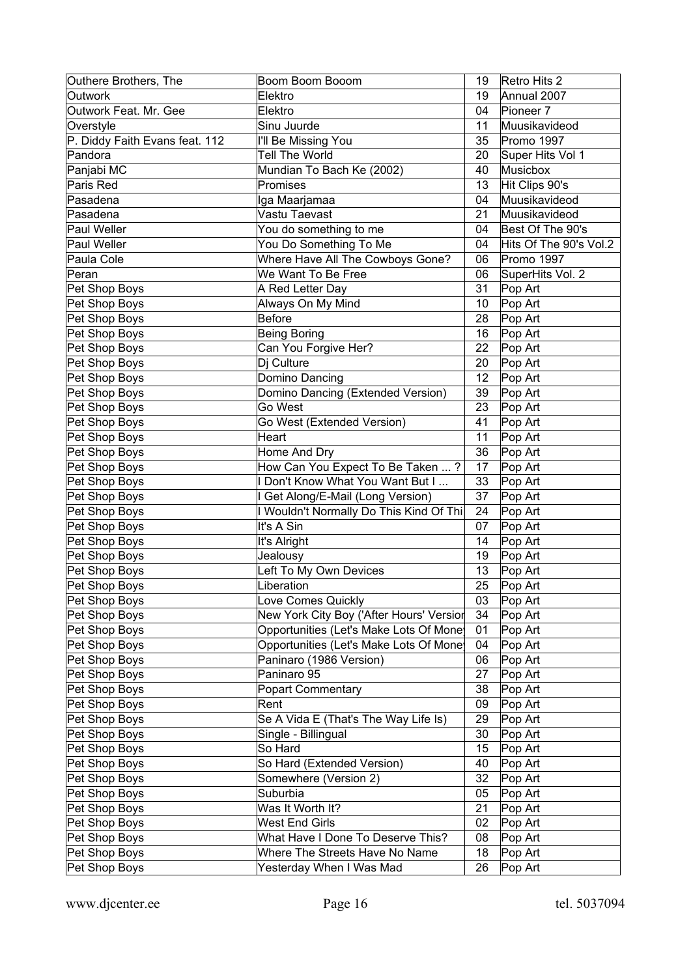| Outhere Brothers, The          | Boom Boom Booom                          | 19 | Retro Hits 2           |
|--------------------------------|------------------------------------------|----|------------------------|
| Outwork                        | Elektro                                  | 19 | Annual 2007            |
| Outwork Feat. Mr. Gee          | Elektro                                  | 04 | Pioneer <sub>7</sub>   |
| Overstyle                      | Sinu Juurde                              | 11 | Muusikavideod          |
| P. Diddy Faith Evans feat. 112 | I'll Be Missing You                      | 35 | Promo 1997             |
| Pandora                        | <b>Tell The World</b>                    | 20 | Super Hits Vol 1       |
| Panjabi MC                     | Mundian To Bach Ke (2002)                | 40 | Musicbox               |
| Paris Red                      | Promises                                 | 13 | Hit Clips 90's         |
| Pasadena                       | Iga Maarjamaa                            | 04 | Muusikavideod          |
| Pasadena                       | Vastu Taevast                            | 21 | Muusikavideod          |
| Paul Weller                    | You do something to me                   | 04 | Best Of The 90's       |
| Paul Weller                    | You Do Something To Me                   | 04 | Hits Of The 90's Vol.2 |
| Paula Cole                     | Where Have All The Cowboys Gone?         | 06 | Promo 1997             |
| Peran                          | We Want To Be Free                       | 06 | SuperHits Vol. 2       |
| Pet Shop Boys                  | A Red Letter Day                         | 31 | Pop Art                |
| Pet Shop Boys                  | Always On My Mind                        | 10 | Pop Art                |
| Pet Shop Boys                  | <b>Before</b>                            | 28 | Pop Art                |
| Pet Shop Boys                  | <b>Being Boring</b>                      | 16 | Pop Art                |
| Pet Shop Boys                  | Can You Forgive Her?                     | 22 | Pop Art                |
| Pet Shop Boys                  | Dj Culture                               | 20 | Pop Art                |
| Pet Shop Boys                  | Domino Dancing                           | 12 | Pop Art                |
| Pet Shop Boys                  | Domino Dancing (Extended Version)        | 39 | Pop Art                |
| Pet Shop Boys                  | Go West                                  | 23 | Pop Art                |
| Pet Shop Boys                  | Go West (Extended Version)               | 41 | Pop Art                |
| Pet Shop Boys                  | Heart                                    | 11 | Pop Art                |
| Pet Shop Boys                  | Home And Dry                             | 36 | Pop Art                |
| Pet Shop Boys                  | How Can You Expect To Be Taken ?         | 17 | Pop Art                |
| Pet Shop Boys                  | I Don't Know What You Want But I         | 33 | Pop Art                |
| Pet Shop Boys                  | I Get Along/E-Mail (Long Version)        | 37 | Pop Art                |
| Pet Shop Boys                  | I Wouldn't Normally Do This Kind Of Thi  | 24 | Pop Art                |
| Pet Shop Boys                  | It's A Sin                               | 07 | Pop Art                |
| Pet Shop Boys                  | It's Alright                             | 14 | Pop Art                |
| Pet Shop Boys                  | Jealousy                                 | 19 | Pop Art                |
| Pet Shop Boys                  | Left To My Own Devices                   | 13 | Pop Art                |
| Pet Shop Boys                  | Liberation                               | 25 | Pop Art                |
| Pet Shop Boys                  | Love Comes Quickly                       | 03 | Pop Art                |
| Pet Shop Boys                  | New York City Boy ('After Hours' Versior | 34 | Pop Art                |
| Pet Shop Boys                  | Opportunities (Let's Make Lots Of Mone   | 01 | Pop Art                |
| Pet Shop Boys                  | Opportunities (Let's Make Lots Of Mone   | 04 | Pop Art                |
| Pet Shop Boys                  | Paninaro (1986 Version)                  | 06 | Pop Art                |
| Pet Shop Boys                  | Paninaro 95                              | 27 | Pop Art                |
| Pet Shop Boys                  | <b>Popart Commentary</b>                 | 38 | Pop Art                |
| Pet Shop Boys                  | Rent                                     | 09 | Pop Art                |
| Pet Shop Boys                  | Se A Vida E (That's The Way Life Is)     | 29 | Pop Art                |
| Pet Shop Boys                  | Single - Billingual                      | 30 | Pop Art                |
| Pet Shop Boys                  | So Hard                                  | 15 | Pop Art                |
| Pet Shop Boys                  | So Hard (Extended Version)               | 40 | Pop Art                |
| Pet Shop Boys                  | Somewhere (Version 2)                    | 32 | Pop Art                |
| Pet Shop Boys                  | Suburbia                                 | 05 | Pop Art                |
| Pet Shop Boys                  | Was It Worth It?                         | 21 | Pop Art                |
| Pet Shop Boys                  | West End Girls                           | 02 | Pop Art                |
| Pet Shop Boys                  | What Have I Done To Deserve This?        | 08 | Pop Art                |
| Pet Shop Boys                  | Where The Streets Have No Name           | 18 | Pop Art                |
| Pet Shop Boys                  | Yesterday When I Was Mad                 | 26 | Pop Art                |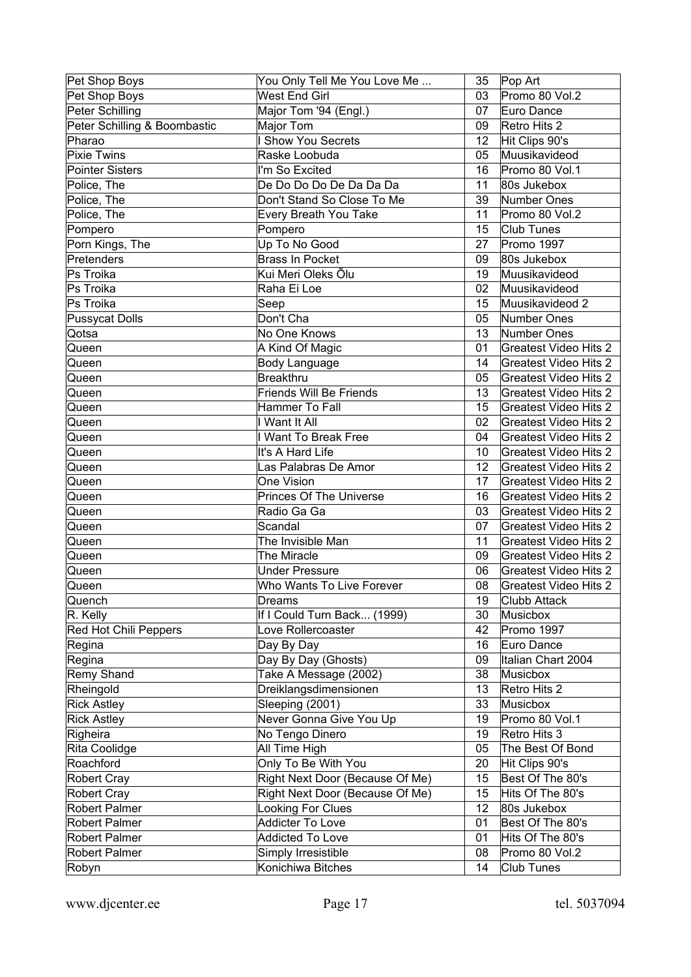| Pet Shop Boys                | You Only Tell Me You Love Me    | 35 | Pop Art                      |
|------------------------------|---------------------------------|----|------------------------------|
| Pet Shop Boys                | <b>West End Girl</b>            | 03 | Promo 80 Vol.2               |
| Peter Schilling              | Major Tom '94 (Engl.)           | 07 | Euro Dance                   |
| Peter Schilling & Boombastic | Major Tom                       | 09 | Retro Hits 2                 |
| Pharao                       | I Show You Secrets              | 12 | Hit Clips 90's               |
| Pixie Twins                  | Raske Loobuda                   | 05 | Muusikavideod                |
| Pointer Sisters              | I'm So Excited                  | 16 | Promo 80 Vol.1               |
| Police, The                  | De Do Do Do De Da Da Da         | 11 | 80s Jukebox                  |
| Police, The                  | Don't Stand So Close To Me      | 39 | Number Ones                  |
| Police, The                  | Every Breath You Take           | 11 | Promo 80 Vol.2               |
| Pompero                      | Pompero                         | 15 | <b>Club Tunes</b>            |
| Porn Kings, The              | Up To No Good                   | 27 | Promo 1997                   |
| Pretenders                   | <b>Brass In Pocket</b>          | 09 | 80s Jukebox                  |
| Ps Troika                    | Kui Meri Oleks Õlu              | 19 | Muusikavideod                |
| Ps Troika                    | Raha Ei Loe                     | 02 | Muusikavideod                |
| Ps Troika                    | Seep                            | 15 | Muusikavideod 2              |
| Pussycat Dolls               | Don't Cha                       | 05 | Number Ones                  |
| Qotsa                        | No One Knows                    | 13 | Number Ones                  |
| Queen                        | A Kind Of Magic                 | 01 | <b>Greatest Video Hits 2</b> |
| Queen                        | <b>Body Language</b>            | 14 | <b>Greatest Video Hits 2</b> |
| Queen                        | <b>Breakthru</b>                | 05 | <b>Greatest Video Hits 2</b> |
| Queen                        | <b>Friends Will Be Friends</b>  | 13 | <b>Greatest Video Hits 2</b> |
| Queen                        | Hammer To Fall                  | 15 | <b>Greatest Video Hits 2</b> |
| Queen                        | I Want It All                   | 02 | <b>Greatest Video Hits 2</b> |
| Queen                        | I Want To Break Free            | 04 | <b>Greatest Video Hits 2</b> |
| Queen                        | It's A Hard Life                | 10 | Greatest Video Hits 2        |
| Queen                        | Las Palabras De Amor            | 12 | Greatest Video Hits 2        |
| Queen                        | One Vision                      | 17 | <b>Greatest Video Hits 2</b> |
| Queen                        | <b>Princes Of The Universe</b>  | 16 | <b>Greatest Video Hits 2</b> |
| Queen                        | Radio Ga Ga                     | 03 | <b>Greatest Video Hits 2</b> |
| Queen                        | Scandal                         | 07 | Greatest Video Hits 2        |
| Queen                        | The Invisible Man               | 11 | <b>Greatest Video Hits 2</b> |
| Queen                        | The Miracle                     | 09 | Greatest Video Hits 2        |
| Queen                        | <b>Under Pressure</b>           | 06 | Greatest Video Hits 2        |
| Queen                        | Who Wants To Live Forever       | 08 | <b>Greatest Video Hits 2</b> |
| Quench                       | Dreams                          | 19 | Clubb Attack                 |
| R. Kelly                     | If I Could Turn Back (1999)     | 30 | Musicbox                     |
| Red Hot Chili Peppers        | Love Rollercoaster              | 42 | Promo 1997                   |
| Regina                       | Day By Day                      | 16 | Euro Dance                   |
| Regina                       | Day By Day (Ghosts)             | 09 | Italian Chart 2004           |
| Remy Shand                   | Take A Message (2002)           | 38 | Musicbox                     |
| Rheingold                    | Dreiklangsdimensionen           | 13 | Retro Hits 2                 |
| <b>Rick Astley</b>           | Sleeping (2001)                 | 33 | Musicbox                     |
| <b>Rick Astley</b>           | Never Gonna Give You Up         | 19 | Promo 80 Vol.1               |
| Righeira                     | No Tengo Dinero                 | 19 | Retro Hits 3                 |
| Rita Coolidge                | All Time High                   | 05 | The Best Of Bond             |
| Roachford                    | Only To Be With You             | 20 | Hit Clips 90's               |
| Robert Cray                  | Right Next Door (Because Of Me) | 15 | Best Of The 80's             |
| Robert Cray                  | Right Next Door (Because Of Me) | 15 | Hits Of The 80's             |
| Robert Palmer                | Looking For Clues               | 12 | 80s Jukebox                  |
| Robert Palmer                | Addicter To Love                | 01 | Best Of The 80's             |
| Robert Palmer                | <b>Addicted To Love</b>         | 01 | Hits Of The 80's             |
| Robert Palmer                | Simply Irresistible             | 08 | Promo 80 Vol.2               |
| Robyn                        | Konichiwa Bitches               | 14 | Club Tunes                   |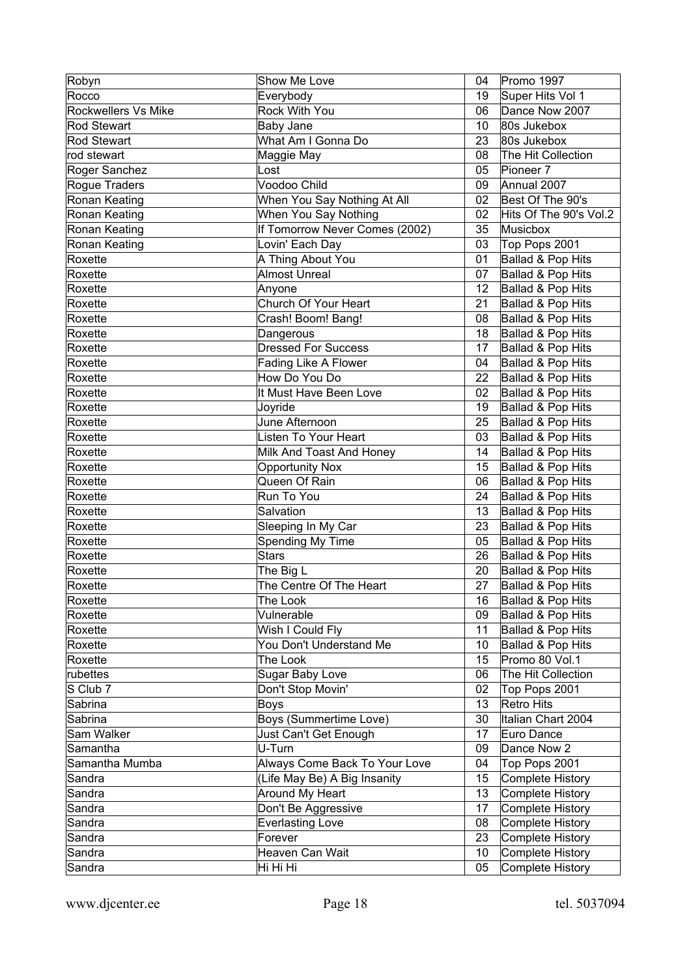| Robyn               | Show Me Love                           | 04       | Promo 1997                           |
|---------------------|----------------------------------------|----------|--------------------------------------|
| Rocco               | Everybody                              | 19       | Super Hits Vol 1                     |
| Rockwellers Vs Mike | Rock With You                          | 06       | Dance Now 2007                       |
| Rod Stewart         | Baby Jane                              | 10       | 80s Jukebox                          |
| Rod Stewart         | What Am I Gonna Do                     | 23       | 80s Jukebox                          |
| rod stewart         | Maggie May                             | 08       | The Hit Collection                   |
| Roger Sanchez       | Lost                                   | 05       | Pioneer <sub>7</sub>                 |
| Rogue Traders       | Voodoo Child                           | 09       | Annual 2007                          |
| Ronan Keating       | When You Say Nothing At All            | 02       | Best Of The 90's                     |
| Ronan Keating       | When You Say Nothing                   | 02       | Hits Of The 90's Vol.2               |
| Ronan Keating       | If Tomorrow Never Comes (2002)         | 35       | Musicbox                             |
| Ronan Keating       | Lovin' Each Day                        | 03       | Top Pops 2001                        |
| Roxette             | A Thing About You                      | 01       | Ballad & Pop Hits                    |
| Roxette             | <b>Almost Unreal</b>                   | 07       | Ballad & Pop Hits                    |
| Roxette             | Anyone                                 | 12       | Ballad & Pop Hits                    |
| Roxette             | Church Of Your Heart                   | 21       | Ballad & Pop Hits                    |
| Roxette             | Crash! Boom! Bang!                     | 08       | Ballad & Pop Hits                    |
| Roxette             | Dangerous                              | 18       | Ballad & Pop Hits                    |
| Roxette             | Dressed For Success                    | 17       | Ballad & Pop Hits                    |
| Roxette             | Fading Like A Flower                   | 04       | Ballad & Pop Hits                    |
| Roxette             | How Do You Do                          | 22       | Ballad & Pop Hits                    |
| Roxette             | It Must Have Been Love                 | 02       | Ballad & Pop Hits                    |
| Roxette             | Joyride                                | 19       | Ballad & Pop Hits                    |
| Roxette             | June Afternoon                         | 25       | Ballad & Pop Hits                    |
| Roxette             | Listen To Your Heart                   | 03       | Ballad & Pop Hits                    |
| Roxette             | Milk And Toast And Honey               | 14       | Ballad & Pop Hits                    |
| Roxette             | <b>Opportunity Nox</b>                 | 15       | Ballad & Pop Hits                    |
| Roxette             | Queen Of Rain                          | 06       | Ballad & Pop Hits                    |
| Roxette             | Run To You                             | 24       | Ballad & Pop Hits                    |
| Roxette             | Salvation                              | 13       | Ballad & Pop Hits                    |
| Roxette             | Sleeping In My Car                     | 23       | Ballad & Pop Hits                    |
| Roxette             | Spending My Time                       | 05       | Ballad & Pop Hits                    |
| Roxette             | <b>Stars</b>                           | 26       | Ballad & Pop Hits                    |
| Roxette             | The Big L                              | 20       | Ballad & Pop Hits                    |
| Roxette             | The Centre Of The Heart                | 27       | Ballad & Pop Hits                    |
| Roxette             | The Look                               | 16       | Ballad & Pop Hits                    |
| Roxette             | Vulnerable                             | 09       | Ballad & Pop Hits                    |
| Roxette             | Wish I Could Fly                       | 11       | Ballad & Pop Hits                    |
| Roxette             | You Don't Understand Me                | 10       | Ballad & Pop Hits                    |
| Roxette             | The Look                               | 15       | Promo 80 Vol.1                       |
| rubettes            | Sugar Baby Love                        | 06       | The Hit Collection                   |
| S Club 7            | Don't Stop Movin'                      | 02       | Top Pops 2001                        |
| Sabrina             | <b>Boys</b>                            | 13       | <b>Retro Hits</b>                    |
| Sabrina             | Boys (Summertime Love)                 | 30       | Italian Chart 2004                   |
| Sam Walker          | Just Can't Get Enough                  | 17       | Euro Dance                           |
| Samantha            | U-Turn                                 | 09       | Dance Now 2                          |
| Samantha Mumba      | Always Come Back To Your Love          | 04       | Top Pops 2001                        |
| Sandra              | (Life May Be) A Big Insanity           | 15       | Complete History                     |
| Sandra<br>Sandra    | Around My Heart<br>Don't Be Aggressive | 13<br>17 | Complete History<br>Complete History |
| Sandra              | <b>Everlasting Love</b>                | 08       | Complete History                     |
| Sandra              | Forever                                | 23       | Complete History                     |
| Sandra              | Heaven Can Wait                        | 10       | Complete History                     |
| Sandra              | Hi Hi Hi                               | 05       | Complete History                     |
|                     |                                        |          |                                      |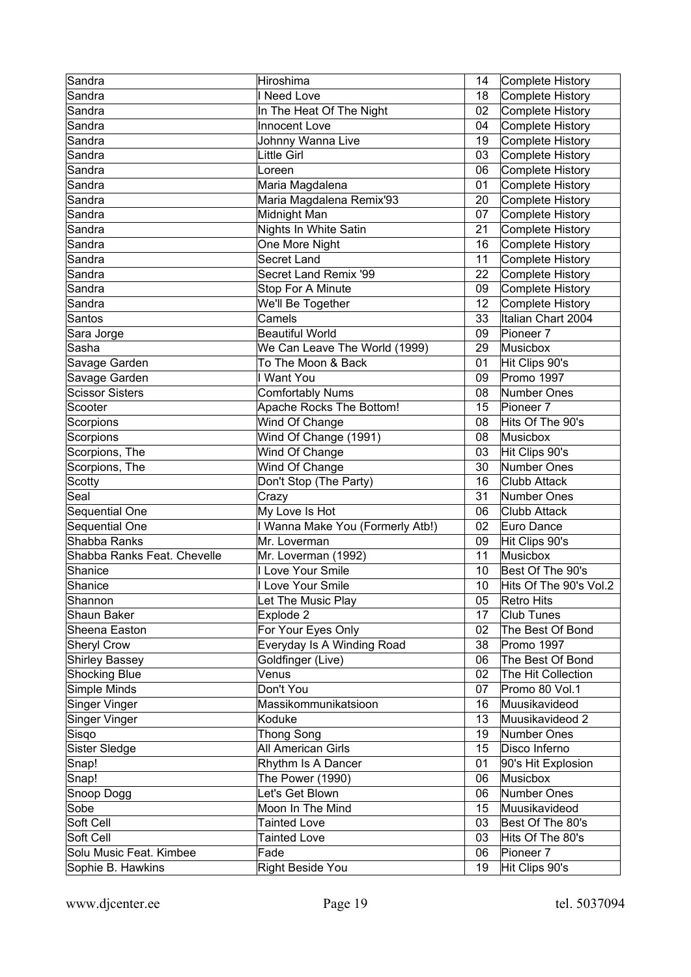| Sandra                      | Hiroshima                        | 14              | Complete History       |
|-----------------------------|----------------------------------|-----------------|------------------------|
| Sandra                      | I Need Love                      | 18              | Complete History       |
| Sandra                      | In The Heat Of The Night         | 02 <sub>2</sub> | Complete History       |
| Sandra                      | Innocent Love                    | 04              | Complete History       |
| Sandra                      | Johnny Wanna Live                | 19              | Complete History       |
| Sandra                      | <b>Little Girl</b>               | 03              | Complete History       |
| Sandra                      | Loreen                           | 06              | Complete History       |
| Sandra                      | Maria Magdalena                  | 01              | Complete History       |
| Sandra                      | Maria Magdalena Remix'93         | 20              | Complete History       |
| Sandra                      | Midnight Man                     | 07              | Complete History       |
| Sandra                      | Nights In White Satin            | 21              | Complete History       |
| Sandra                      | One More Night                   | 16              | Complete History       |
| Sandra                      | Secret Land                      | 11              | Complete History       |
| Sandra                      | Secret Land Remix '99            | 22              | Complete History       |
| Sandra                      | Stop For A Minute                | 09              | Complete History       |
| Sandra                      | We'll Be Together                | 12              | Complete History       |
| Santos                      | Camels                           | 33              | Italian Chart 2004     |
| Sara Jorge                  | <b>Beautiful World</b>           | 09              | Pioneer <sub>7</sub>   |
| Sasha                       | We Can Leave The World (1999)    | 29              | Musicbox               |
| Savage Garden               | To The Moon & Back               | 01              | Hit Clips 90's         |
| Savage Garden               | I Want You                       | 09              | Promo 1997             |
| <b>Scissor Sisters</b>      | <b>Comfortably Nums</b>          | 08              | Number Ones            |
| Scooter                     | Apache Rocks The Bottom!         | 15              | Pioneer <sub>7</sub>   |
| Scorpions                   | Wind Of Change                   | 08              | Hits Of The 90's       |
| Scorpions                   | Wind Of Change (1991)            | 08              | Musicbox               |
| Scorpions, The              | Wind Of Change                   | 03              | Hit Clips 90's         |
| Scorpions, The              | Wind Of Change                   | 30              | Number Ones            |
| Scotty                      | Don't Stop (The Party)           | 16              | <b>Clubb Attack</b>    |
| Seal                        | Crazy                            | 31              | Number Ones            |
| Sequential One              | My Love Is Hot                   | 06              | <b>Clubb Attack</b>    |
| Sequential One              | I Wanna Make You (Formerly Atb!) | 02              | Euro Dance             |
| Shabba Ranks                | Mr. Loverman                     | 09              | Hit Clips 90's         |
| Shabba Ranks Feat. Chevelle | Mr. Loverman (1992)              | 11              | Musicbox               |
| Shanice                     | I Love Your Smile                | 10              | Best Of The 90's       |
| Shanice                     | I Love Your Smile                | 10              | Hits Of The 90's Vol.2 |
| Shannon                     | Let The Music Play               | 05              | Retro Hits             |
| Shaun Baker                 | Explode 2                        | 17              | <b>Club Tunes</b>      |
| Sheena Easton               | For Your Eyes Only               | 02 <sub>2</sub> | The Best Of Bond       |
| <b>Sheryl Crow</b>          | Everyday Is A Winding Road       | 38              | Promo 1997             |
| <b>Shirley Bassey</b>       | Goldfinger (Live)                | 06              | The Best Of Bond       |
| <b>Shocking Blue</b>        | Venus                            | 02              | The Hit Collection     |
| Simple Minds                | Don't You                        | 07              | Promo 80 Vol.1         |
| <b>Singer Vinger</b>        | Massikommunikatsioon             | 16              | Muusikavideod          |
| <b>Singer Vinger</b>        | Koduke                           | 13              | Muusikavideod 2        |
| Sisqo                       | <b>Thong Song</b>                | 19              | Number Ones            |
| Sister Sledge               | All American Girls               | 15              | Disco Inferno          |
| Snap!                       | Rhythm Is A Dancer               | 01              | 90's Hit Explosion     |
| Snap!                       | The Power (1990)                 | 06              | Musicbox               |
| Snoop Dogg                  | Let's Get Blown                  | 06              | Number Ones            |
| Sobe                        | Moon In The Mind                 | 15              | Muusikavideod          |
| Soft Cell                   | <b>Tainted Love</b>              | 03              | Best Of The 80's       |
| Soft Cell                   | <b>Tainted Love</b>              | 03              | Hits Of The 80's       |
| Solu Music Feat. Kimbee     | Fade                             | 06              | Pioneer 7              |
| Sophie B. Hawkins           | Right Beside You                 | 19              | Hit Clips 90's         |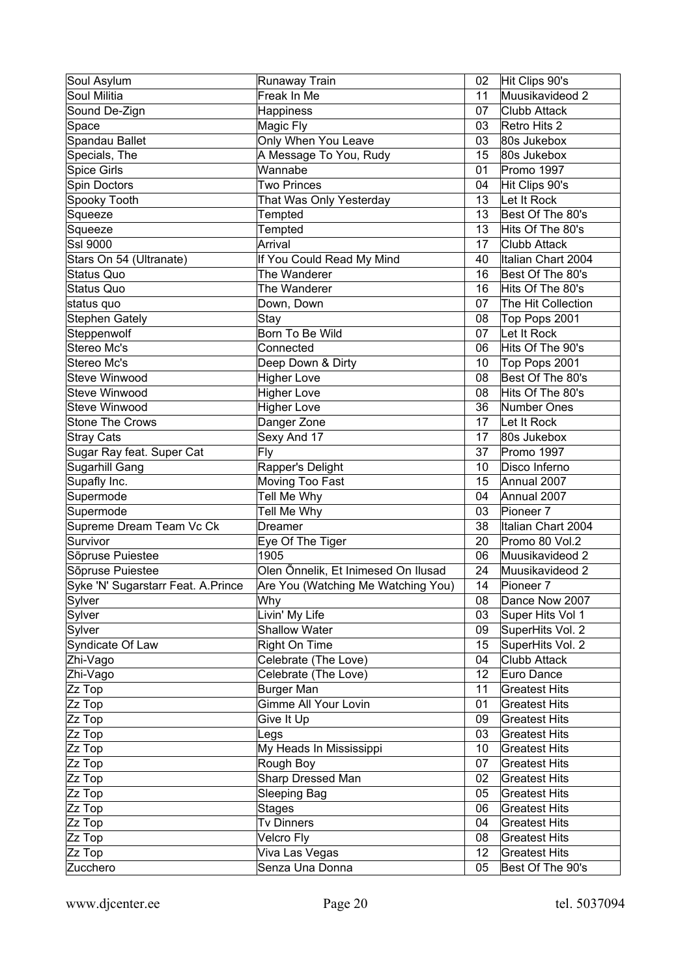| Soul Asylum                        | Runaway Train                       | 02               | Hit Clips 90's       |
|------------------------------------|-------------------------------------|------------------|----------------------|
| Soul Militia                       | Freak In Me                         | 11               | Muusikavideod 2      |
| Sound De-Zign                      | <b>Happiness</b>                    | 07               | <b>Clubb Attack</b>  |
| Space                              | Magic Fly                           | 03               | Retro Hits 2         |
| Spandau Ballet                     | Only When You Leave                 | 03               | 80s Jukebox          |
| Specials, The                      | A Message To You, Rudy              | 15               | 80s Jukebox          |
| <b>Spice Girls</b>                 | Wannabe                             | 01               | Promo 1997           |
| Spin Doctors                       | Two Princes                         | 04               | Hit Clips 90's       |
| Spooky Tooth                       | That Was Only Yesterday             | 13               | Let It Rock          |
| Squeeze                            | Tempted                             | 13               | Best Of The 80's     |
| Squeeze                            | Tempted                             | 13               | Hits Of The 80's     |
| Ssl 9000                           | Arrival                             | 17               | <b>Clubb Attack</b>  |
| Stars On 54 (Ultranate)            | If You Could Read My Mind           | 40               | Italian Chart 2004   |
| Status Quo                         | The Wanderer                        | 16               | Best Of The 80's     |
| Status Quo                         | The Wanderer                        | 16               | Hits Of The 80's     |
| status quo                         | Down, Down                          | 07               | The Hit Collection   |
| <b>Stephen Gately</b>              | Stay                                | 08               | Top Pops 2001        |
| Steppenwolf                        | Born To Be Wild                     | 07               | Let It Rock          |
| Stereo Mc's                        | Connected                           | 06               | Hits Of The 90's     |
| Stereo Mc's                        | Deep Down & Dirty                   | 10               | Top Pops 2001        |
| <b>Steve Winwood</b>               | <b>Higher Love</b>                  | 08               | Best Of The 80's     |
| Steve Winwood                      | <b>Higher Love</b>                  | 08               | Hits Of The 80's     |
| Steve Winwood                      | <b>Higher Love</b>                  | 36               | Number Ones          |
| <b>Stone The Crows</b>             | Danger Zone                         | 17               | Let It Rock          |
| <b>Stray Cats</b>                  | Sexy And 17                         | 17               | 80s Jukebox          |
| Sugar Ray feat. Super Cat          | Fly                                 | 37               | Promo 1997           |
| Sugarhill Gang                     | Rapper's Delight                    | 10               | Disco Inferno        |
| Supafly Inc.                       | Moving Too Fast                     | 15               | Annual 2007          |
| Supermode                          | Tell Me Why                         | 04               | Annual 2007          |
| Supermode                          | Tell Me Why                         | 03               | Pioneer <sub>7</sub> |
| Supreme Dream Team Vc Ck           | Dreamer                             | 38               | Italian Chart 2004   |
| Survivor                           | Eye Of The Tiger                    | 20               | Promo 80 Vol.2       |
| Sõpruse Puiestee                   | 1905                                | 06               | Muusikavideod 2      |
| Sõpruse Puiestee                   | Olen Õnnelik, Et Inimesed On Ilusad | 24               | Muusikavideod 2      |
| Syke 'N' Sugarstarr Feat. A.Prince | Are You (Watching Me Watching You)  | 14               | Pioneer <sub>7</sub> |
| Sylver                             | Why                                 | 08               | Dance Now 2007       |
| Sylver                             | Livin' My Life                      | 03               | Super Hits Vol 1     |
| Sylver                             | <b>Shallow Water</b>                | 09               | SuperHits Vol. 2     |
| Syndicate Of Law                   | Right On Time                       | 15 <sub>15</sub> | SuperHits Vol. 2     |
| Zhi-Vago                           | Celebrate (The Love)                | 04               | Clubb Attack         |
| Zhi-Vago                           | Celebrate (The Love)                | 12 <sup>°</sup>  | Euro Dance           |
| Zz Top                             | <b>Burger Man</b>                   | 11               | <b>Greatest Hits</b> |
| Zz Top                             | Gimme All Your Lovin                | 01               | <b>Greatest Hits</b> |
| Zz Top                             | Give It Up                          | 09               | <b>Greatest Hits</b> |
| Zz Top                             | Legs                                | 03               | <b>Greatest Hits</b> |
| Zz Top                             | My Heads In Mississippi             | 10               | <b>Greatest Hits</b> |
| Zz Top                             | Rough Boy                           | 07               | <b>Greatest Hits</b> |
| Zz Top                             | Sharp Dressed Man                   | 02               | <b>Greatest Hits</b> |
| Zz Top                             | <b>Sleeping Bag</b>                 | 05               | <b>Greatest Hits</b> |
| Zz Top                             | <b>Stages</b>                       | 06               | <b>Greatest Hits</b> |
| Zz Top                             | Tv Dinners                          | 04               | <b>Greatest Hits</b> |
| Zz Top                             | Velcro Fly                          | 08               | <b>Greatest Hits</b> |
| Zz Top                             | Viva Las Vegas                      | 12               | <b>Greatest Hits</b> |
| Zucchero                           | Senza Una Donna                     | 05               | Best Of The 90's     |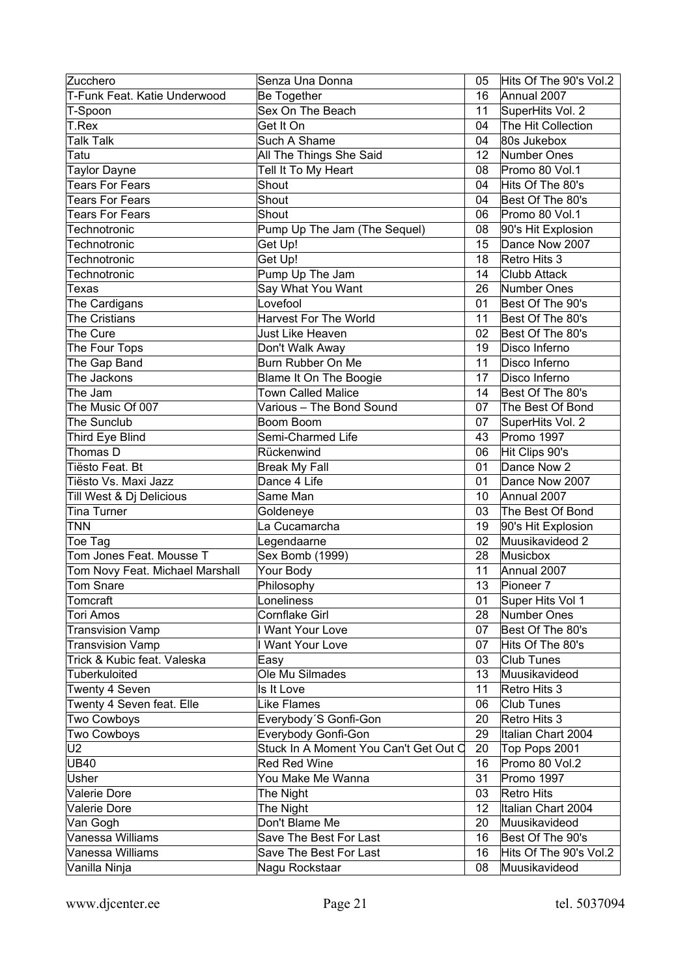| Zucchero                            | Senza Una Donna                       | 05       | Hits Of The 90's Vol.2                |
|-------------------------------------|---------------------------------------|----------|---------------------------------------|
| T-Funk Feat. Katie Underwood        | Be Together                           | 16       | Annual 2007                           |
| T-Spoon                             | Sex On The Beach                      | 11       | SuperHits Vol. 2                      |
| T.Rex                               | Get It On                             | 04       | The Hit Collection                    |
| <b>Talk Talk</b>                    | Such A Shame                          | 04       | 80s Jukebox                           |
| Tatu                                | All The Things She Said               | 12       | Number Ones                           |
| <b>Taylor Dayne</b>                 | Tell It To My Heart                   | 08       | Promo 80 Vol.1                        |
| <b>Tears For Fears</b>              | Shout                                 | 04       | Hits Of The 80's                      |
| <b>Tears For Fears</b>              | Shout                                 | 04       | Best Of The 80's                      |
| <b>Tears For Fears</b>              | Shout                                 | 06       | Promo 80 Vol.1                        |
| Technotronic                        | Pump Up The Jam (The Sequel)          | 08       | 90's Hit Explosion                    |
| Technotronic                        | Get Up!                               | 15       | Dance Now 2007                        |
| Technotronic                        | Get Up!                               | 18       | Retro Hits 3                          |
| Technotronic                        | Pump Up The Jam                       | 14       | Clubb Attack                          |
| Texas                               | Say What You Want                     | 26       | Number Ones                           |
| The Cardigans                       | Lovefool                              | 01       | Best Of The 90's                      |
| <b>The Cristians</b>                | <b>Harvest For The World</b>          | 11       | Best Of The 80's                      |
| The Cure                            | Just Like Heaven                      | 02       | Best Of The 80's                      |
| The Four Tops                       | Don't Walk Away                       | 19       | Disco Inferno                         |
| The Gap Band                        | <b>Burn Rubber On Me</b>              | 11       | Disco Inferno                         |
| The Jackons                         | Blame It On The Boogie                | 17       | Disco Inferno                         |
| The Jam                             | <b>Town Called Malice</b>             | 14       | Best Of The 80's                      |
| The Music Of 007                    | Various - The Bond Sound              | 07       | The Best Of Bond                      |
| The Sunclub                         | Boom Boom                             | 07       | SuperHits Vol. 2                      |
| Third Eye Blind                     | Semi-Charmed Life                     | 43       | Promo 1997                            |
| Thomas D                            | Rückenwind                            | 06       | Hit Clips 90's                        |
| Tiësto Feat. Bt                     | <b>Break My Fall</b>                  | 01       | Dance Now 2                           |
| Tiësto Vs. Maxi Jazz                | Dance 4 Life                          | 01       | Dance Now 2007                        |
| Till West & Dj Delicious            | Same Man                              | 10       | Annual 2007                           |
| <b>Tina Turner</b>                  | Goldeneye                             | 03       | The Best Of Bond                      |
| <b>TNN</b>                          | La Cucamarcha                         | 19       |                                       |
|                                     |                                       |          | 90's Hit Explosion<br>Muusikavideod 2 |
| Toe Tag<br>Tom Jones Feat, Mousse T | Legendaarne                           | 02<br>28 | Musicbox                              |
|                                     | Sex Bomb (1999)                       |          |                                       |
| Tom Novy Feat. Michael Marshall     | Your Body                             | 11       | Annual 2007                           |
| <b>Tom Snare</b>                    | Philosophy                            | 13       | Pioneer <sub>7</sub>                  |
| Tomcraft                            | Loneliness                            | 01       | Super Hits Vol 1                      |
| <b>Tori Amos</b>                    | <b>Cornflake Girl</b>                 | 28       | Number Ones                           |
| <b>Transvision Vamp</b>             | I Want Your Love                      | 07       | Best Of The 80's                      |
| <b>Transvision Vamp</b>             | I Want Your Love                      | 07       | Hits Of The 80's                      |
| Trick & Kubic feat. Valeska         | Easy                                  | 03       | <b>Club Tunes</b>                     |
| Tuberkuloited                       | Ole Mu Silmades                       | 13       | Muusikavideod                         |
| Twenty 4 Seven                      | Is It Love                            | 11       | Retro Hits 3                          |
| Twenty 4 Seven feat. Elle           | Like Flames                           | 06       | Club Tunes                            |
| Two Cowboys                         | Everybody'S Gonfi-Gon                 | 20       | Retro Hits 3                          |
| <b>Two Cowboys</b>                  | Everybody Gonfi-Gon                   | 29       | Italian Chart 2004                    |
| U2                                  | Stuck In A Moment You Can't Get Out C | 20       | Top Pops 2001                         |
| <b>UB40</b>                         | Red Red Wine                          | 16       | Promo 80 Vol.2                        |
| Usher                               | You Make Me Wanna                     | 31       | Promo 1997                            |
| Valerie Dore                        | The Night                             | 03       | Retro Hits                            |
| Valerie Dore                        | The Night                             | 12       | Italian Chart 2004                    |
| Van Gogh                            | Don't Blame Me                        | 20       | Muusikavideod                         |
| Vanessa Williams                    | Save The Best For Last                | 16       | Best Of The 90's                      |
| Vanessa Williams                    | Save The Best For Last                | 16       | Hits Of The 90's Vol.2                |
| Vanilla Ninja                       | Nagu Rockstaar                        | 08       | Muusikavideod                         |